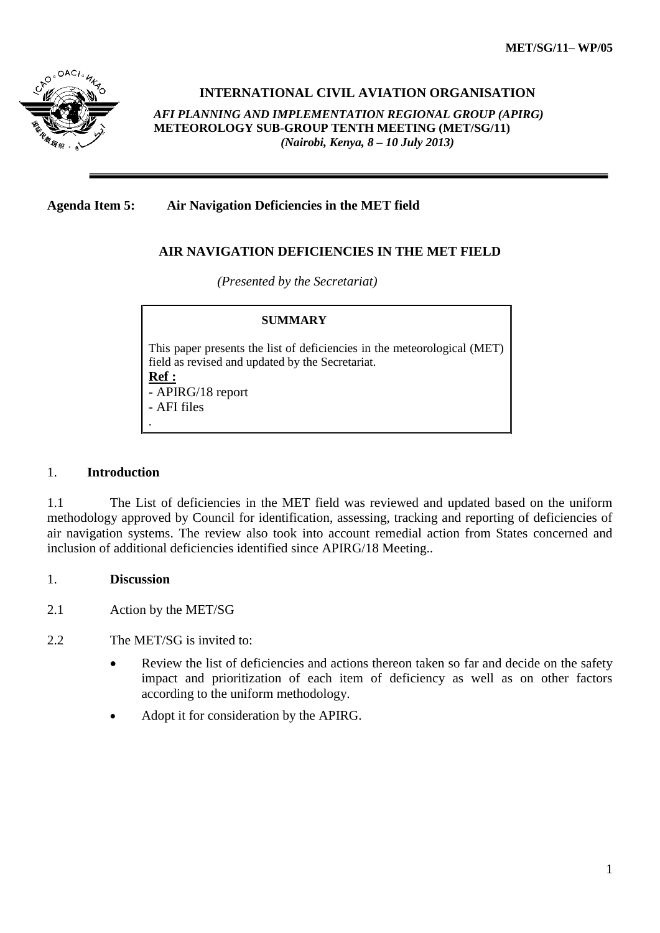

**INTERNATIONAL CIVIL AVIATION ORGANISATION** 

*AFI PLANNING AND IMPLEMENTATION REGIONAL GROUP (APIRG)* **METEOROLOGY SUB-GROUP TENTH MEETING (MET/SG/11)**  *(Nairobi, Kenya, 8 – 10 July 2013)*

## **Agenda Item 5: Air Navigation Deficiencies in the MET field**

## **AIR NAVIGATION DEFICIENCIES IN THE MET FIELD**

*(Presented by the Secretariat)*

## **SUMMARY** This paper presents the list of deficiencies in the meteorological (MET) field as revised and updated by the Secretariat. **Ref :** - APIRG/18 report - AFI files .

## 1. **Introduction**

1.1 The List of deficiencies in the MET field was reviewed and updated based on the uniform methodology approved by Council for identification, assessing, tracking and reporting of deficiencies of air navigation systems. The review also took into account remedial action from States concerned and inclusion of additional deficiencies identified since APIRG/18 Meeting..

#### 1. **Discussion**

- 2.1 Action by the MET/SG
- 2.2 The MET/SG is invited to:
	- Review the list of deficiencies and actions thereon taken so far and decide on the safety impact and prioritization of each item of deficiency as well as on other factors according to the uniform methodology.
	- Adopt it for consideration by the APIRG.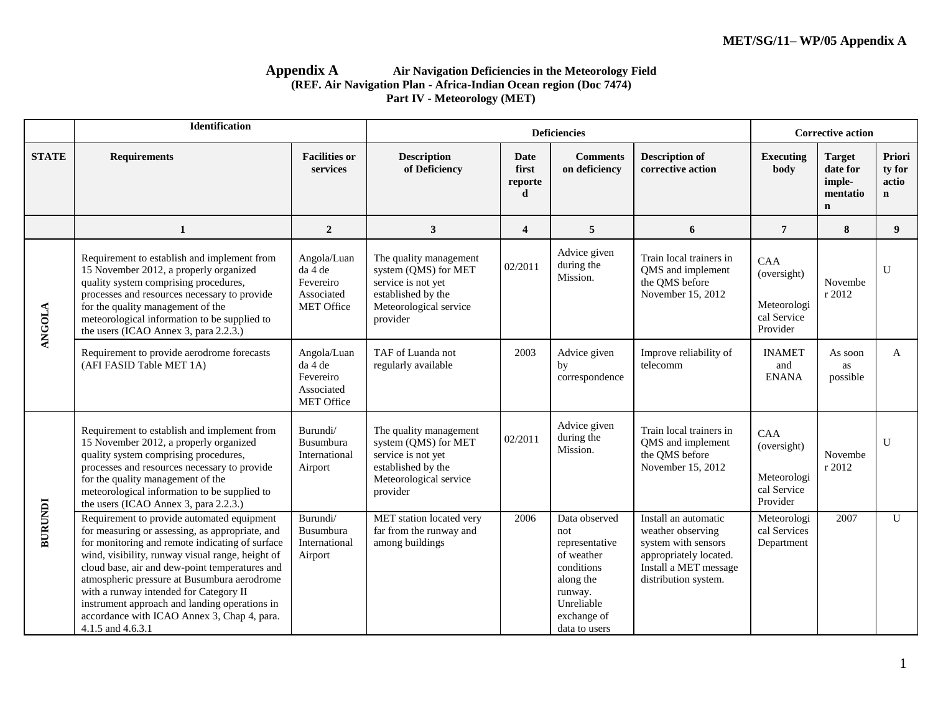#### **Appendix A Air Navigation Deficiencies in the Meteorology Field (REF. Air Navigation Plan - Africa-Indian Ocean region (Doc 7474) Part IV - Meteorology (MET)**

|                | <b>Identification</b>                                                                                                                                                                                                                                                                                                                                                                                                                                                |                                                                 |                                                                                                                                  |                               | <b>Corrective action</b>                                                                                                                 |                                                                                                                                             |                                                              |                                                                |                                          |
|----------------|----------------------------------------------------------------------------------------------------------------------------------------------------------------------------------------------------------------------------------------------------------------------------------------------------------------------------------------------------------------------------------------------------------------------------------------------------------------------|-----------------------------------------------------------------|----------------------------------------------------------------------------------------------------------------------------------|-------------------------------|------------------------------------------------------------------------------------------------------------------------------------------|---------------------------------------------------------------------------------------------------------------------------------------------|--------------------------------------------------------------|----------------------------------------------------------------|------------------------------------------|
| <b>STATE</b>   | <b>Requirements</b>                                                                                                                                                                                                                                                                                                                                                                                                                                                  | <b>Facilities or</b><br>services                                | <b>Description</b><br>of Deficiency                                                                                              | Date<br>first<br>reporte<br>d | <b>Comments</b><br>on deficiency                                                                                                         | <b>Description of</b><br>corrective action                                                                                                  | <b>Executing</b><br>body                                     | <b>Target</b><br>date for<br>imple-<br>mentatio<br>$\mathbf n$ | Priori<br>ty for<br>actio<br>$\mathbf n$ |
|                | $\mathbf{1}$                                                                                                                                                                                                                                                                                                                                                                                                                                                         | $\overline{2}$                                                  | $\mathbf{3}$                                                                                                                     | $\overline{\mathbf{4}}$       | 5                                                                                                                                        | 6                                                                                                                                           | $\overline{7}$                                               | 8                                                              | 9                                        |
| <b>ANGOLA</b>  | Requirement to establish and implement from<br>15 November 2012, a properly organized<br>quality system comprising procedures,<br>processes and resources necessary to provide<br>for the quality management of the<br>meteorological information to be supplied to<br>the users (ICAO Annex 3, para 2.2.3.)                                                                                                                                                         | Angola/Luan<br>da 4 de<br>Fevereiro<br>Associated<br>MET Office | The quality management<br>system (QMS) for MET<br>service is not yet<br>established by the<br>Meteorological service<br>provider | 02/2011                       | Advice given<br>during the<br>Mission.                                                                                                   | Train local trainers in<br>QMS and implement<br>the QMS before<br>November 15, 2012                                                         | CAA<br>(oversight)<br>Meteorologi<br>cal Service<br>Provider | Novembe<br>r 2012                                              | U                                        |
|                | Requirement to provide aerodrome forecasts<br>(AFI FASID Table MET 1A)                                                                                                                                                                                                                                                                                                                                                                                               | Angola/Luan<br>da 4 de<br>Fevereiro<br>Associated<br>MET Office | TAF of Luanda not<br>regularly available                                                                                         | 2003                          | Advice given<br>by<br>correspondence                                                                                                     | Improve reliability of<br>telecomm                                                                                                          | <b>INAMET</b><br>and<br><b>ENANA</b>                         | As soon<br>as<br>possible                                      | A                                        |
|                | Requirement to establish and implement from<br>15 November 2012, a properly organized<br>quality system comprising procedures,<br>processes and resources necessary to provide<br>for the quality management of the<br>meteorological information to be supplied to<br>the users (ICAO Annex 3, para 2.2.3.)                                                                                                                                                         | Burundi/<br>Busumbura<br>International<br>Airport               | The quality management<br>system (QMS) for MET<br>service is not yet<br>established by the<br>Meteorological service<br>provider | 02/2011                       | Advice given<br>during the<br>Mission.                                                                                                   | Train local trainers in<br>QMS and implement<br>the QMS before<br>November 15, 2012                                                         | CAA<br>(oversight)<br>Meteorologi<br>cal Service<br>Provider | Novembe<br>r 2012                                              | U                                        |
| <b>BURUNDI</b> | Requirement to provide automated equipment<br>for measuring or assessing, as appropriate, and<br>for monitoring and remote indicating of surface<br>wind, visibility, runway visual range, height of<br>cloud base, air and dew-point temperatures and<br>atmospheric pressure at Busumbura aerodrome<br>with a runway intended for Category II<br>instrument approach and landing operations in<br>accordance with ICAO Annex 3, Chap 4, para.<br>4.1.5 and 4.6.3.1 | Burundi/<br>Busumbura<br>International<br>Airport               | MET station located very<br>far from the runway and<br>among buildings                                                           | 2006                          | Data observed<br>not<br>representative<br>of weather<br>conditions<br>along the<br>runway.<br>Unreliable<br>exchange of<br>data to users | Install an automatic<br>weather observing<br>system with sensors<br>appropriately located.<br>Install a MET message<br>distribution system. | Meteorologi<br>cal Services<br>Department                    | 2007                                                           | U                                        |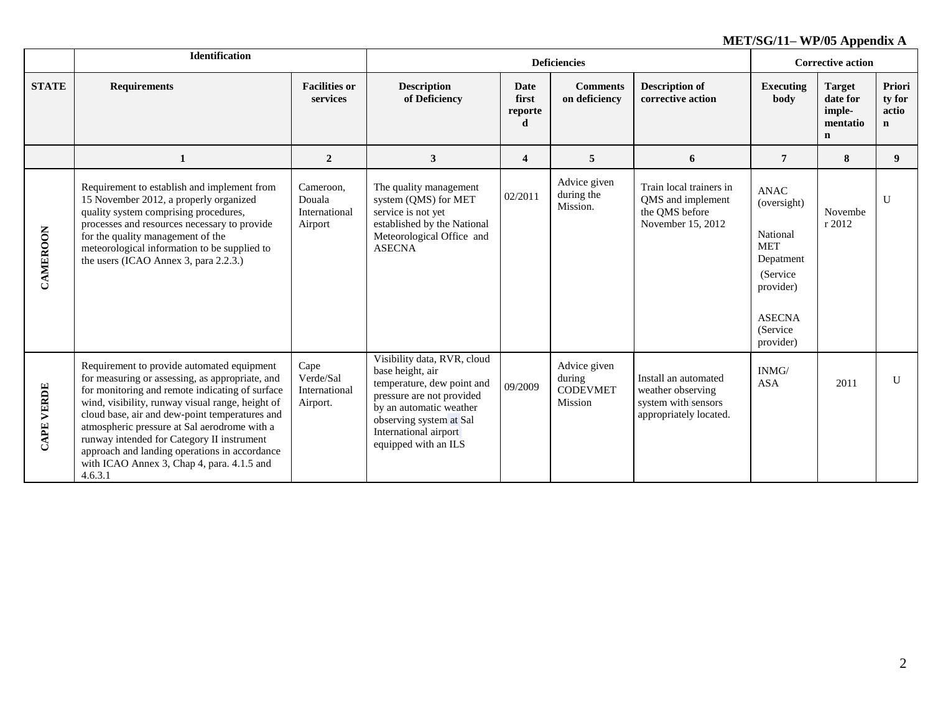|                   | <b>Identification</b>                                                                                                                                                                                                                                                                                                                                                                                                                                          |                                                 |                                                                                                                                                                                                                   |                                      | <b>Deficiencies</b>                                  |                                                                                            | <b>Corrective action</b>                                                                                                               |                                                                |                                          |
|-------------------|----------------------------------------------------------------------------------------------------------------------------------------------------------------------------------------------------------------------------------------------------------------------------------------------------------------------------------------------------------------------------------------------------------------------------------------------------------------|-------------------------------------------------|-------------------------------------------------------------------------------------------------------------------------------------------------------------------------------------------------------------------|--------------------------------------|------------------------------------------------------|--------------------------------------------------------------------------------------------|----------------------------------------------------------------------------------------------------------------------------------------|----------------------------------------------------------------|------------------------------------------|
| <b>STATE</b>      | <b>Requirements</b>                                                                                                                                                                                                                                                                                                                                                                                                                                            | <b>Facilities or</b><br>services                | <b>Description</b><br>of Deficiency                                                                                                                                                                               | <b>Date</b><br>first<br>reporte<br>d | <b>Comments</b><br>on deficiency                     | <b>Description of</b><br>corrective action                                                 | <b>Executing</b><br>body                                                                                                               | <b>Target</b><br>date for<br>imple-<br>mentatio<br>$\mathbf n$ | Priori<br>ty for<br>actio<br>$\mathbf n$ |
|                   | 1                                                                                                                                                                                                                                                                                                                                                                                                                                                              | $\overline{2}$                                  | $\mathbf{3}$                                                                                                                                                                                                      | $\overline{4}$                       | 5                                                    | 6                                                                                          | $\overline{7}$                                                                                                                         | 8                                                              | 9                                        |
| CAMEROON          | Requirement to establish and implement from<br>15 November 2012, a properly organized<br>quality system comprising procedures,<br>processes and resources necessary to provide<br>for the quality management of the<br>meteorological information to be supplied to<br>the users (ICAO Annex 3, para 2.2.3.)                                                                                                                                                   | Cameroon,<br>Douala<br>International<br>Airport | The quality management<br>system (QMS) for MET<br>service is not yet<br>established by the National<br>Meteorological Office and<br><b>ASECNA</b>                                                                 | 02/2011                              | Advice given<br>during the<br>Mission.               | Train local trainers in<br>QMS and implement<br>the OMS before<br>November 15, 2012        | <b>ANAC</b><br>(oversight)<br>National<br><b>MET</b><br>Depatment<br>(Service)<br>provider)<br><b>ASECNA</b><br>(Service)<br>provider) | Novembe<br>r 2012                                              | U                                        |
| <b>CAPE VERDE</b> | Requirement to provide automated equipment<br>for measuring or assessing, as appropriate, and<br>for monitoring and remote indicating of surface<br>wind, visibility, runway visual range, height of<br>cloud base, air and dew-point temperatures and<br>atmospheric pressure at Sal aerodrome with a<br>runway intended for Category II instrument<br>approach and landing operations in accordance<br>with ICAO Annex 3, Chap 4, para. 4.1.5 and<br>4.6.3.1 | Cape<br>Verde/Sal<br>International<br>Airport.  | Visibility data, RVR, cloud<br>base height, air<br>temperature, dew point and<br>pressure are not provided<br>by an automatic weather<br>observing system at Sal<br>International airport<br>equipped with an ILS | 09/2009                              | Advice given<br>during<br><b>CODEVMET</b><br>Mission | Install an automated<br>weather observing<br>system with sensors<br>appropriately located. | INMG/<br><b>ASA</b>                                                                                                                    | 2011                                                           | $\mathbf{U}$                             |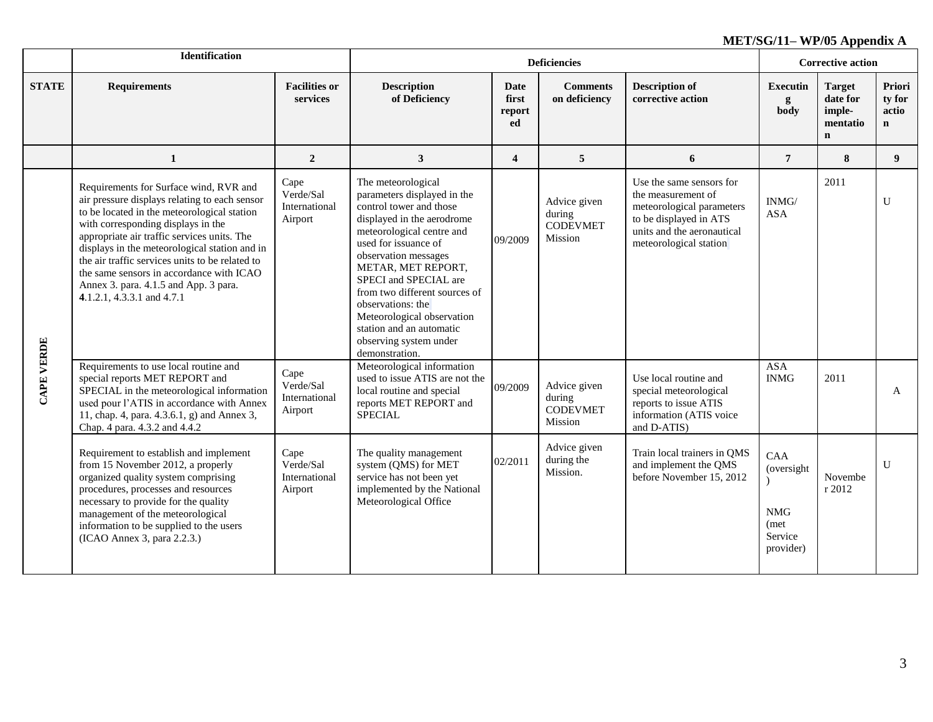|              | <b>Identification</b>                                                                                                                                                                                                                                                                                                                                                                                                                              |                                               |                                                                                                                                                                                                                                                                                                                                                                                                    |                                      | <b>Deficiencies</b>                                  |                                                                                                                                                               | <b>Corrective action</b>                                         |                                                                |                                          |
|--------------|----------------------------------------------------------------------------------------------------------------------------------------------------------------------------------------------------------------------------------------------------------------------------------------------------------------------------------------------------------------------------------------------------------------------------------------------------|-----------------------------------------------|----------------------------------------------------------------------------------------------------------------------------------------------------------------------------------------------------------------------------------------------------------------------------------------------------------------------------------------------------------------------------------------------------|--------------------------------------|------------------------------------------------------|---------------------------------------------------------------------------------------------------------------------------------------------------------------|------------------------------------------------------------------|----------------------------------------------------------------|------------------------------------------|
| <b>STATE</b> | <b>Requirements</b>                                                                                                                                                                                                                                                                                                                                                                                                                                | <b>Facilities or</b><br>services              | <b>Description</b><br>of Deficiency                                                                                                                                                                                                                                                                                                                                                                | <b>Date</b><br>first<br>report<br>ed | <b>Comments</b><br>on deficiency                     | <b>Description of</b><br>corrective action                                                                                                                    | <b>Executin</b><br>g<br>body                                     | <b>Target</b><br>date for<br>imple-<br>mentatio<br>$\mathbf n$ | Priori<br>ty for<br>actio<br>$\mathbf n$ |
|              | $\mathbf{1}$                                                                                                                                                                                                                                                                                                                                                                                                                                       | $\overline{2}$                                | $\mathbf{3}$                                                                                                                                                                                                                                                                                                                                                                                       | $\overline{\mathbf{4}}$              | 5                                                    | 6                                                                                                                                                             | $\overline{7}$                                                   | 8                                                              | 9 <sup>1</sup>                           |
| CAPE VERDE   | Requirements for Surface wind, RVR and<br>air pressure displays relating to each sensor<br>to be located in the meteorological station<br>with corresponding displays in the<br>appropriate air traffic services units. The<br>displays in the meteorological station and in<br>the air traffic services units to be related to<br>the same sensors in accordance with ICAO<br>Annex 3. para. 4.1.5 and App. 3 para.<br>4.1.2.1, 4.3.3.1 and 4.7.1 | Cape<br>Verde/Sal<br>International<br>Airport | The meteorological<br>parameters displayed in the<br>control tower and those<br>displayed in the aerodrome<br>meteorological centre and<br>used for issuance of<br>observation messages<br>METAR, MET REPORT,<br>SPECI and SPECIAL are<br>from two different sources of<br>observations: the<br>Meteorological observation<br>station and an automatic<br>observing system under<br>demonstration. | 09/2009                              | Advice given<br>during<br><b>CODEVMET</b><br>Mission | Use the same sensors for<br>the measurement of<br>meteorological parameters<br>to be displayed in ATS<br>units and the aeronautical<br>meteorological station | INMG/<br><b>ASA</b>                                              | 2011                                                           | U                                        |
|              | Requirements to use local routine and<br>special reports MET REPORT and<br>SPECIAL in the meteorological information<br>used pour l'ATIS in accordance with Annex<br>11, chap. 4, para. 4.3.6.1, g) and Annex 3,<br>Chap. 4 para. 4.3.2 and 4.4.2                                                                                                                                                                                                  | Cape<br>Verde/Sal<br>International<br>Airport | Meteorological information<br>used to issue ATIS are not the<br>local routine and special<br>reports MET REPORT and<br><b>SPECIAL</b>                                                                                                                                                                                                                                                              | 09/2009                              | Advice given<br>during<br><b>CODEVMET</b><br>Mission | Use local routine and<br>special meteorological<br>reports to issue ATIS<br>information (ATIS voice<br>and D-ATIS)                                            | <b>ASA</b><br><b>INMG</b>                                        | 2011                                                           | A                                        |
|              | Requirement to establish and implement<br>from 15 November 2012, a properly<br>organized quality system comprising<br>procedures, processes and resources<br>necessary to provide for the quality<br>management of the meteorological<br>information to be supplied to the users<br>(ICAO Annex 3, para 2.2.3.)                                                                                                                                    | Cape<br>Verde/Sal<br>International<br>Airport | The quality management<br>system (QMS) for MET<br>service has not been yet<br>implemented by the National<br>Meteorological Office                                                                                                                                                                                                                                                                 | 02/2011                              | Advice given<br>during the<br>Mission.               | Train local trainers in QMS<br>and implement the QMS<br>before November 15, 2012                                                                              | CAA<br>(oversight)<br><b>NMG</b><br>(met<br>Service<br>provider) | Novembe<br>r 2012                                              | $\mathbf{U}$                             |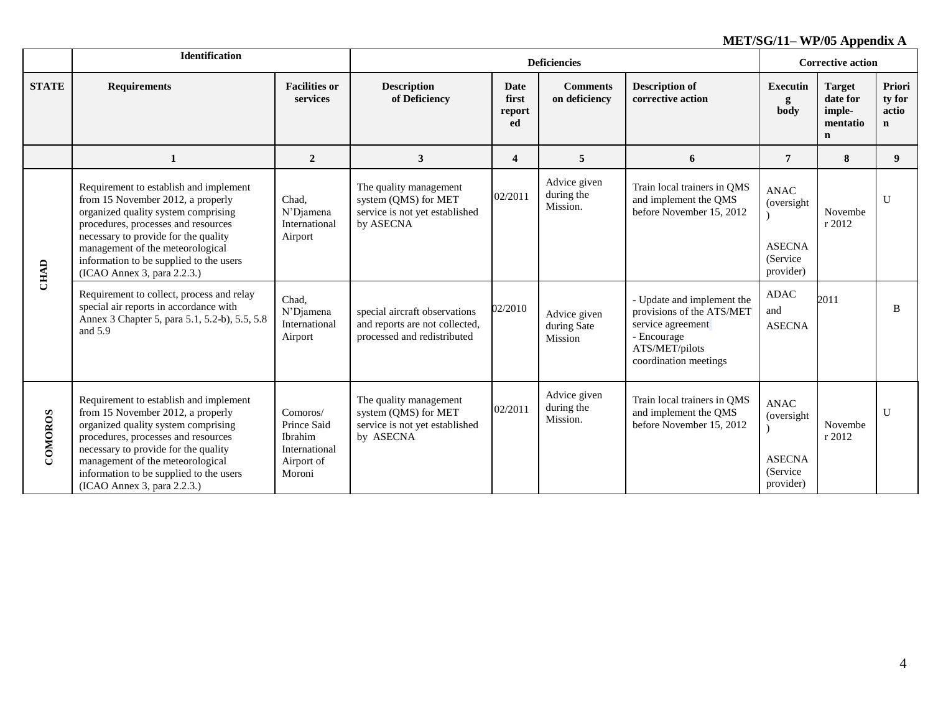|              | <b>Identification</b>                                                                                                                                                                                                                                                                                           |                                                                             |                                                                                                |                               | <b>Deficiencies</b>                    |                                                                                                                                        | <b>Corrective action</b>                                             |                                                                |                                                 |
|--------------|-----------------------------------------------------------------------------------------------------------------------------------------------------------------------------------------------------------------------------------------------------------------------------------------------------------------|-----------------------------------------------------------------------------|------------------------------------------------------------------------------------------------|-------------------------------|----------------------------------------|----------------------------------------------------------------------------------------------------------------------------------------|----------------------------------------------------------------------|----------------------------------------------------------------|-------------------------------------------------|
| <b>STATE</b> | <b>Requirements</b>                                                                                                                                                                                                                                                                                             | <b>Facilities or</b><br>services                                            | <b>Description</b><br>of Deficiency                                                            | Date<br>first<br>report<br>ed | <b>Comments</b><br>on deficiency       | <b>Description of</b><br>corrective action                                                                                             | <b>Executin</b><br>g<br>body                                         | <b>Target</b><br>date for<br>imple-<br>mentatio<br>$\mathbf n$ | <b>Priori</b><br>ty for<br>actio<br>$\mathbf n$ |
|              | 1                                                                                                                                                                                                                                                                                                               | $\boldsymbol{2}$                                                            | 3                                                                                              | $\overline{\mathbf{4}}$       | 5                                      | 6                                                                                                                                      | $\overline{7}$                                                       | 8                                                              | 9                                               |
|              | Requirement to establish and implement<br>from 15 November 2012, a properly<br>organized quality system comprising<br>procedures, processes and resources<br>necessary to provide for the quality<br>management of the meteorological<br>information to be supplied to the users<br>(ICAO Annex 3, para 2.2.3.) | Chad.<br>N'Djamena<br>International<br>Airport                              | The quality management<br>system (QMS) for MET<br>service is not yet established<br>by ASECNA  | 02/2011                       | Advice given<br>during the<br>Mission. | Train local trainers in QMS<br>and implement the QMS<br>before November 15, 2012                                                       | <b>ANAC</b><br>(oversight<br><b>ASECNA</b><br>(Service)<br>provider) | Novembe<br>r 2012                                              | U                                               |
| <b>CHAD</b>  | Requirement to collect, process and relay<br>special air reports in accordance with<br>Annex 3 Chapter 5, para 5.1, 5.2-b), 5.5, 5.8<br>and 5.9                                                                                                                                                                 | Chad.<br>N'Diamena<br>International<br>Airport                              | special aircraft observations<br>and reports are not collected,<br>processed and redistributed | 02/2010                       | Advice given<br>during Sate<br>Mission | - Update and implement the<br>provisions of the ATS/MET<br>service agreement<br>- Encourage<br>ATS/MET/pilots<br>coordination meetings | <b>ADAC</b><br>and<br><b>ASECNA</b>                                  | 2011                                                           | B                                               |
| COMOROS      | Requirement to establish and implement<br>from 15 November 2012, a properly<br>organized quality system comprising<br>procedures, processes and resources<br>necessary to provide for the quality<br>management of the meteorological<br>information to be supplied to the users<br>(ICAO Annex 3, para 2.2.3.) | Comoros/<br>Prince Said<br>Ibrahim<br>International<br>Airport of<br>Moroni | The quality management<br>system (QMS) for MET<br>service is not yet established<br>by ASECNA  | 02/2011                       | Advice given<br>during the<br>Mission. | Train local trainers in QMS<br>and implement the QMS<br>before November 15, 2012                                                       | <b>ANAC</b><br>(oversight<br><b>ASECNA</b><br>(Service)<br>provider) | Novembe<br>r 2012                                              | U                                               |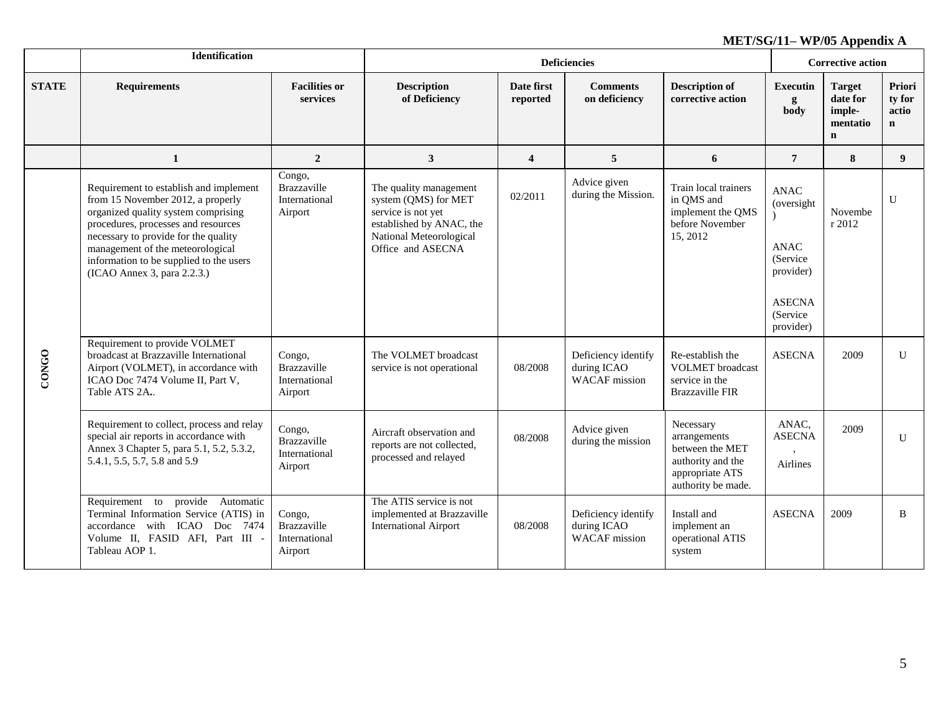|              | Identification                                                                                                                                                                                                                                                                                                  |                                                   |                                                                                                                                                  |                         | <b>Deficiencies</b>                                        |                                                                                                            | <b>Corrective action</b>                                                                                      |                                                                |                                          |
|--------------|-----------------------------------------------------------------------------------------------------------------------------------------------------------------------------------------------------------------------------------------------------------------------------------------------------------------|---------------------------------------------------|--------------------------------------------------------------------------------------------------------------------------------------------------|-------------------------|------------------------------------------------------------|------------------------------------------------------------------------------------------------------------|---------------------------------------------------------------------------------------------------------------|----------------------------------------------------------------|------------------------------------------|
| <b>STATE</b> | <b>Requirements</b>                                                                                                                                                                                                                                                                                             | <b>Facilities or</b><br>services                  | <b>Description</b><br>of Deficiency                                                                                                              | Date first<br>reported  | <b>Comments</b><br>on deficiency                           | <b>Description of</b><br>corrective action                                                                 | <b>Executin</b><br>g<br>body                                                                                  | <b>Target</b><br>date for<br>imple-<br>mentatio<br>$\mathbf n$ | Priori<br>ty for<br>actio<br>$\mathbf n$ |
|              | $\mathbf{1}$                                                                                                                                                                                                                                                                                                    | $\overline{2}$                                    | $\mathbf{3}$                                                                                                                                     | $\overline{\mathbf{4}}$ | $5\overline{5}$                                            | 6                                                                                                          | $\overline{7}$                                                                                                | 8                                                              | 9                                        |
|              | Requirement to establish and implement<br>from 15 November 2012, a properly<br>organized quality system comprising<br>procedures, processes and resources<br>necessary to provide for the quality<br>management of the meteorological<br>information to be supplied to the users<br>(ICAO Annex 3, para 2.2.3.) | Congo,<br>Brazzaville<br>International<br>Airport | The quality management<br>system (QMS) for MET<br>service is not yet<br>established by ANAC, the<br>National Meteorological<br>Office and ASECNA | 02/2011                 | Advice given<br>during the Mission.                        | Train local trainers<br>in QMS and<br>implement the QMS<br>before November<br>15, 2012                     | <b>ANAC</b><br>(oversight)<br><b>ANAC</b><br>(Service)<br>provider)<br><b>ASECNA</b><br>(Service<br>provider) | Novembe<br>r 2012                                              | U                                        |
| <b>CONGO</b> | Requirement to provide VOLMET<br>broadcast at Brazzaville International<br>Airport (VOLMET), in accordance with<br>ICAO Doc 7474 Volume II, Part V,<br>Table ATS 2A.                                                                                                                                            | Congo,<br>Brazzaville<br>International<br>Airport | The VOLMET broadcast<br>service is not operational                                                                                               | 08/2008                 | Deficiency identify<br>during ICAO<br><b>WACAF</b> mission | Re-establish the<br><b>VOLMET</b> broadcast<br>service in the<br><b>Brazzaville FIR</b>                    | <b>ASECNA</b>                                                                                                 | 2009                                                           | $\mathbf{U}$                             |
|              | Requirement to collect, process and relay<br>special air reports in accordance with<br>Annex 3 Chapter 5, para 5.1, 5.2, 5.3.2,<br>5.4.1, 5.5, 5.7, 5.8 and 5.9                                                                                                                                                 | Congo,<br>Brazzaville<br>International<br>Airport | Aircraft observation and<br>reports are not collected,<br>processed and relayed                                                                  | 08/2008                 | Advice given<br>during the mission                         | Necessary<br>arrangements<br>between the MET<br>authority and the<br>appropriate ATS<br>authority be made. | ANAC,<br><b>ASECNA</b><br><b>Airlines</b>                                                                     | 2009                                                           | U                                        |
|              | Requirement to provide Automatic<br>Terminal Information Service (ATIS) in<br>accordance with ICAO Doc 7474<br>Volume II, FASID AFI, Part III -<br>Tableau AOP 1.                                                                                                                                               | Congo,<br>Brazzaville<br>International<br>Airport | The ATIS service is not<br>implemented at Brazzaville<br><b>International Airport</b>                                                            | 08/2008                 | Deficiency identify<br>during ICAO<br><b>WACAF</b> mission | Install and<br>implement an<br>operational ATIS<br>system                                                  | <b>ASECNA</b>                                                                                                 | 2009                                                           | B                                        |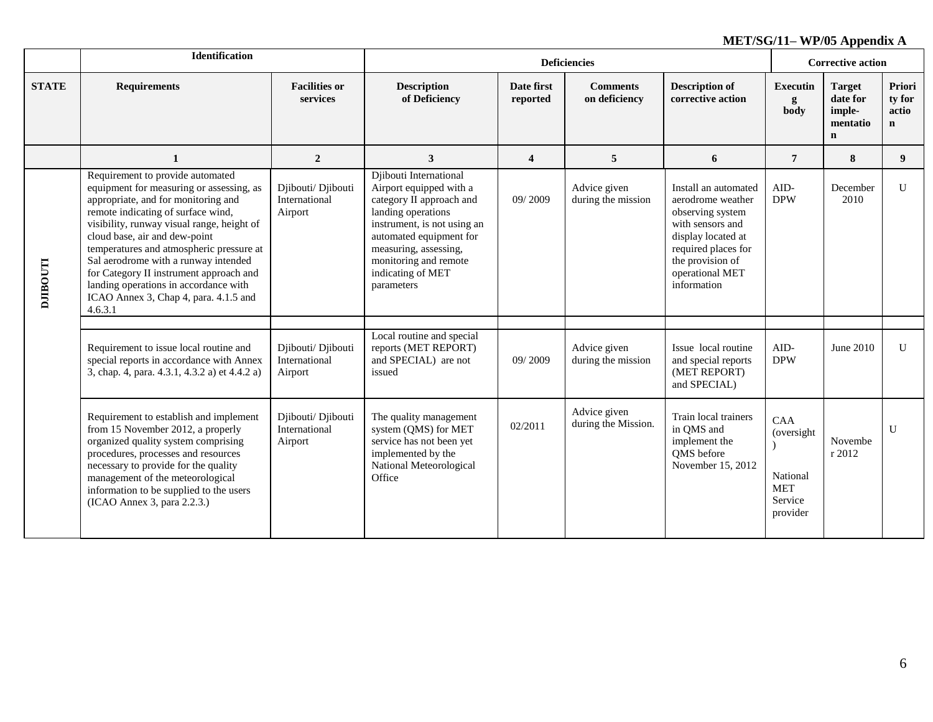|                 | Identification                                                                                                                                                                                                                                                                                                                                                                                                                                                       |                                                |                                                                                                                                                                                                                                                    |                         | <b>Corrective action</b>            |                                                                                                                                                                                      |                                                                     |                                                                |                                           |
|-----------------|----------------------------------------------------------------------------------------------------------------------------------------------------------------------------------------------------------------------------------------------------------------------------------------------------------------------------------------------------------------------------------------------------------------------------------------------------------------------|------------------------------------------------|----------------------------------------------------------------------------------------------------------------------------------------------------------------------------------------------------------------------------------------------------|-------------------------|-------------------------------------|--------------------------------------------------------------------------------------------------------------------------------------------------------------------------------------|---------------------------------------------------------------------|----------------------------------------------------------------|-------------------------------------------|
| <b>STATE</b>    | <b>Requirements</b>                                                                                                                                                                                                                                                                                                                                                                                                                                                  | <b>Facilities or</b><br>services               | <b>Description</b><br>of Deficiency                                                                                                                                                                                                                | Date first<br>reported  | <b>Comments</b><br>on deficiency    | <b>Description of</b><br>corrective action                                                                                                                                           | <b>Executin</b><br>g<br>body                                        | <b>Target</b><br>date for<br>imple-<br>mentatio<br>$\mathbf n$ | Priori<br>ty for<br>actio<br>$\mathbf{n}$ |
|                 | 1                                                                                                                                                                                                                                                                                                                                                                                                                                                                    | $\overline{2}$                                 | 3                                                                                                                                                                                                                                                  | $\overline{\mathbf{4}}$ | 5                                   | 6                                                                                                                                                                                    | $\overline{7}$                                                      | 8                                                              | 9                                         |
| <b>DJIBOUTI</b> | Requirement to provide automated<br>equipment for measuring or assessing, as<br>appropriate, and for monitoring and<br>remote indicating of surface wind,<br>visibility, runway visual range, height of<br>cloud base, air and dew-point<br>temperatures and atmospheric pressure at<br>Sal aerodrome with a runway intended<br>for Category II instrument approach and<br>landing operations in accordance with<br>ICAO Annex 3, Chap 4, para. 4.1.5 and<br>4.6.3.1 | Djibouti/ Djibouti<br>International<br>Airport | Djibouti International<br>Airport equipped with a<br>category II approach and<br>landing operations<br>instrument, is not using an<br>automated equipment for<br>measuring, assessing,<br>monitoring and remote<br>indicating of MET<br>parameters | 09/2009                 | Advice given<br>during the mission  | Install an automated<br>aerodrome weather<br>observing system<br>with sensors and<br>display located at<br>required places for<br>the provision of<br>operational MET<br>information | AID-<br><b>DPW</b>                                                  | December<br>2010                                               | $\mathbf{U}$                              |
|                 | Requirement to issue local routine and<br>special reports in accordance with Annex<br>3, chap. 4, para. 4.3.1, 4.3.2 a) et 4.4.2 a)                                                                                                                                                                                                                                                                                                                                  | Djibouti/ Djibouti<br>International<br>Airport | Local routine and special<br>reports (MET REPORT)<br>and SPECIAL) are not<br>issued                                                                                                                                                                | 09/2009                 | Advice given<br>during the mission  | Issue local routine<br>and special reports<br>(MET REPORT)<br>and SPECIAL)                                                                                                           | AID-<br><b>DPW</b>                                                  | June 2010                                                      | U                                         |
|                 | Requirement to establish and implement<br>from 15 November 2012, a properly<br>organized quality system comprising<br>procedures, processes and resources<br>necessary to provide for the quality<br>management of the meteorological<br>information to be supplied to the users<br>(ICAO Annex 3, para 2.2.3.)                                                                                                                                                      | Djibouti/ Djibouti<br>International<br>Airport | The quality management<br>system (QMS) for MET<br>service has not been yet<br>implemented by the<br>National Meteorological<br>Office                                                                                                              | 02/2011                 | Advice given<br>during the Mission. | Train local trainers<br>in QMS and<br>implement the<br>QMS before<br>November 15, 2012                                                                                               | CAA<br>(oversight)<br>National<br><b>MET</b><br>Service<br>provider | Novembe<br>r 2012                                              | $\mathbf{U}$                              |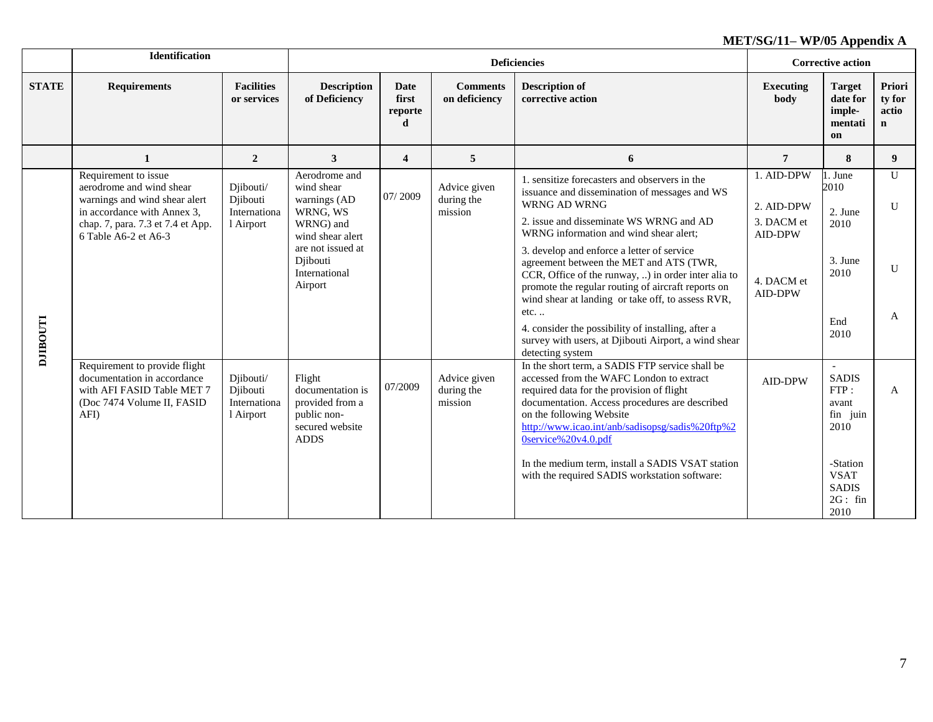|                | <b>Identification</b>                                                                                                                                                         |                                                    |                                                                                                                                                       |                                      |                                       | <b>Deficiencies</b>                                                                                                                                                                                                                                                                                                                                                                                                                                                                                                                                                                                            |                                                                            | <b>Corrective action</b>                                                                                                  |                                |
|----------------|-------------------------------------------------------------------------------------------------------------------------------------------------------------------------------|----------------------------------------------------|-------------------------------------------------------------------------------------------------------------------------------------------------------|--------------------------------------|---------------------------------------|----------------------------------------------------------------------------------------------------------------------------------------------------------------------------------------------------------------------------------------------------------------------------------------------------------------------------------------------------------------------------------------------------------------------------------------------------------------------------------------------------------------------------------------------------------------------------------------------------------------|----------------------------------------------------------------------------|---------------------------------------------------------------------------------------------------------------------------|--------------------------------|
| <b>STATE</b>   | <b>Requirements</b>                                                                                                                                                           | <b>Facilities</b><br>or services                   | <b>Description</b><br>of Deficiency                                                                                                                   | <b>Date</b><br>first<br>reporte<br>d | <b>Comments</b><br>on deficiency      | <b>Description of</b><br>corrective action                                                                                                                                                                                                                                                                                                                                                                                                                                                                                                                                                                     | <b>Executing</b><br>body                                                   | <b>Target</b><br>date for<br>imple-<br>mentati<br>on                                                                      | Priori<br>ty for<br>actio<br>n |
|                | $\mathbf{1}$                                                                                                                                                                  | $\overline{2}$                                     | 3                                                                                                                                                     | $\overline{\mathbf{4}}$              | 5                                     | 6                                                                                                                                                                                                                                                                                                                                                                                                                                                                                                                                                                                                              | 7                                                                          | 8                                                                                                                         | 9                              |
| <b>LLOOHIN</b> | Requirement to issue<br>aerodrome and wind shear<br>warnings and wind shear alert<br>in accordance with Annex 3,<br>chap. 7, para. 7.3 et 7.4 et App.<br>6 Table A6-2 et A6-3 | Djibouti/<br>Djibouti<br>Internationa<br>1 Airport | Aerodrome and<br>wind shear<br>warnings (AD<br>WRNG, WS<br>WRNG) and<br>wind shear alert<br>are not issued at<br>Djibouti<br>International<br>Airport | 07/2009                              | Advice given<br>during the<br>mission | 1. sensitize forecasters and observers in the<br>issuance and dissemination of messages and WS<br><b>WRNG AD WRNG</b><br>2. issue and disseminate WS WRNG and AD<br>WRNG information and wind shear alert;<br>3. develop and enforce a letter of service<br>agreement between the MET and ATS (TWR,<br>CCR, Office of the runway, ) in order inter alia to<br>promote the regular routing of aircraft reports on<br>wind shear at landing or take off, to assess RVR,<br>etc<br>4. consider the possibility of installing, after a<br>survey with users, at Djibouti Airport, a wind shear<br>detecting system | 1. AID-DPW<br>2. AID-DPW<br>3. DACM et<br>AID-DPW<br>4. DACM et<br>AID-DPW | 1. June<br>2010<br>2. June<br>2010<br>3. June<br>2010<br>End<br>2010                                                      | $\mathbf{U}$<br>U<br>U<br>A    |
|                | Requirement to provide flight<br>documentation in accordance<br>with AFI FASID Table MET 7<br>(Doc 7474 Volume II, FASID<br>AFI)                                              | Djibouti/<br>Djibouti<br>Internationa<br>1 Airport | Flight<br>documentation is<br>provided from a<br>public non-<br>secured website<br><b>ADDS</b>                                                        | 07/2009                              | Advice given<br>during the<br>mission | In the short term, a SADIS FTP service shall be<br>accessed from the WAFC London to extract<br>required data for the provision of flight<br>documentation. Access procedures are described<br>on the following Website<br>http://www.icao.int/anb/sadisopsg/sadis%20ftp%2<br>0service%20v4.0.pdf<br>In the medium term, install a SADIS VSAT station<br>with the required SADIS workstation software:                                                                                                                                                                                                          | <b>AID-DPW</b>                                                             | $\sim$<br><b>SADIS</b><br>FTP:<br>avant<br>fin juin<br>2010<br>-Station<br><b>VSAT</b><br><b>SADIS</b><br>2G: fin<br>2010 | A                              |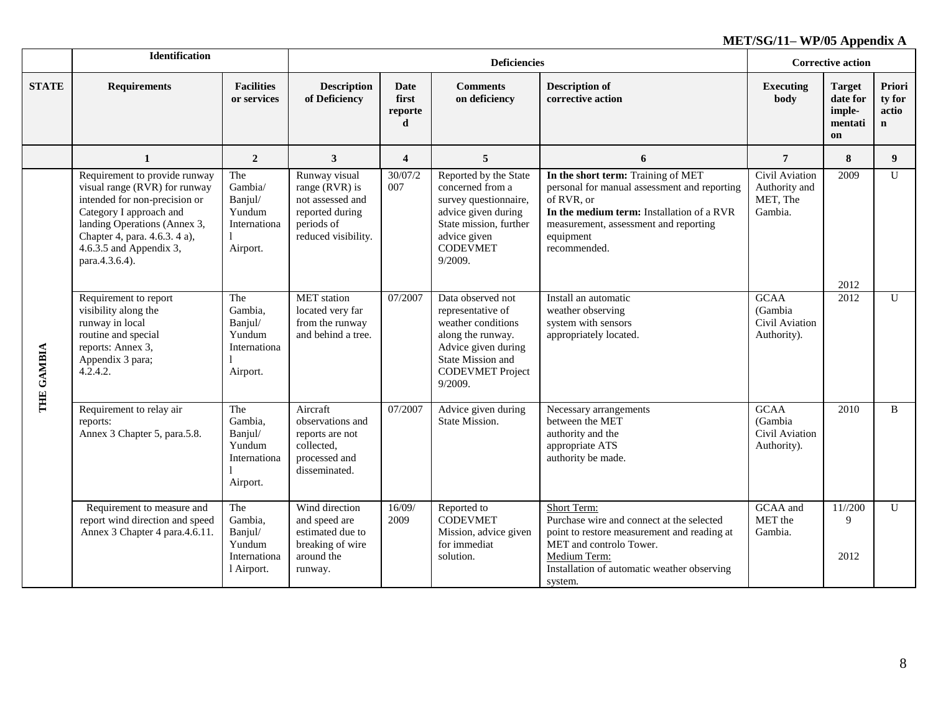|              | <b>Identification</b>                                                                                                                                                                                                                    |                                                                   |                                                                                                               |                               | <b>Deficiencies</b>                                                                                                                                                 |                                                                                                                                                                                                                     | <b>Corrective action</b>                                |                                                      |                                          |
|--------------|------------------------------------------------------------------------------------------------------------------------------------------------------------------------------------------------------------------------------------------|-------------------------------------------------------------------|---------------------------------------------------------------------------------------------------------------|-------------------------------|---------------------------------------------------------------------------------------------------------------------------------------------------------------------|---------------------------------------------------------------------------------------------------------------------------------------------------------------------------------------------------------------------|---------------------------------------------------------|------------------------------------------------------|------------------------------------------|
| <b>STATE</b> | <b>Requirements</b>                                                                                                                                                                                                                      | <b>Facilities</b><br>or services                                  | <b>Description</b><br>of Deficiency                                                                           | Date<br>first<br>reporte<br>d | <b>Comments</b><br>on deficiency                                                                                                                                    | <b>Description of</b><br>corrective action                                                                                                                                                                          | <b>Executing</b><br>body                                | <b>Target</b><br>date for<br>imple-<br>mentati<br>on | Priori<br>ty for<br>actio<br>$\mathbf n$ |
|              | $\mathbf{1}$                                                                                                                                                                                                                             | $\boldsymbol{2}$                                                  | $\mathbf{3}$                                                                                                  | $\overline{\mathbf{4}}$       | 5                                                                                                                                                                   | 6                                                                                                                                                                                                                   | $\overline{7}$                                          | 8                                                    | 9 <sup>°</sup>                           |
|              | Requirement to provide runway<br>visual range (RVR) for runway<br>intended for non-precision or<br>Category I approach and<br>landing Operations (Annex 3,<br>Chapter 4, para. 4.6.3. 4 a),<br>4.6.3.5 and Appendix 3,<br>para.4.3.6.4). | The<br>Gambia/<br>Banjul/<br>Yundum<br>Internationa<br>Airport.   | Runway visual<br>range $(RVR)$ is<br>not assessed and<br>reported during<br>periods of<br>reduced visibility. | 30/07/2<br>007                | Reported by the State<br>concerned from a<br>survey questionnaire,<br>advice given during<br>State mission, further<br>advice given<br><b>CODEVMET</b><br>9/2009.   | In the short term: Training of MET<br>personal for manual assessment and reporting<br>of RVR, or<br>In the medium term: Installation of a RVR<br>measurement, assessment and reporting<br>equipment<br>recommended. | Civil Aviation<br>Authority and<br>MET, The<br>Gambia.  | 2009<br>2012                                         | $\mathbf{U}$                             |
| THE GAMBIA   | Requirement to report<br>visibility along the<br>runway in local<br>routine and special<br>reports: Annex 3,<br>Appendix 3 para;<br>4.2.4.2.                                                                                             | The<br>Gambia,<br>Banjul/<br>Yundum<br>Internationa<br>Airport.   | <b>MET</b> station<br>located very far<br>from the runway<br>and behind a tree.                               | 07/2007                       | Data observed not<br>representative of<br>weather conditions<br>along the runway.<br>Advice given during<br>State Mission and<br><b>CODEVMET Project</b><br>9/2009. | Install an automatic<br>weather observing<br>system with sensors<br>appropriately located.                                                                                                                          | <b>GCAA</b><br>(Gambia<br>Civil Aviation<br>Authority). | 2012                                                 | $\mathbf{U}$                             |
|              | Requirement to relay air<br>reports:<br>Annex 3 Chapter 5, para.5.8.                                                                                                                                                                     | The<br>Gambia,<br>Banjul/<br>Yundum<br>Internationa<br>Airport.   | Aircraft<br>observations and<br>reports are not<br>collected,<br>processed and<br>disseminated.               | 07/2007                       | Advice given during<br>State Mission.                                                                                                                               | Necessary arrangements<br>between the MET<br>authority and the<br>appropriate ATS<br>authority be made.                                                                                                             | <b>GCAA</b><br>(Gambia<br>Civil Aviation<br>Authority). | 2010                                                 | B                                        |
|              | Requirement to measure and<br>report wind direction and speed<br>Annex 3 Chapter 4 para.4.6.11.                                                                                                                                          | The<br>Gambia,<br>Banjul/<br>Yundum<br>Internationa<br>l Airport. | Wind direction<br>and speed are<br>estimated due to<br>breaking of wire<br>around the<br>runway.              | 16/09/<br>2009                | Reported to<br><b>CODEVMET</b><br>Mission, advice given<br>for immediat<br>solution.                                                                                | Short Term:<br>Purchase wire and connect at the selected<br>point to restore measurement and reading at<br>MET and controlo Tower.<br>Medium Term:<br>Installation of automatic weather observing<br>system.        | GCAA and<br>MET the<br>Gambia.                          | $11^{1/200}$<br>9<br>2012                            | U                                        |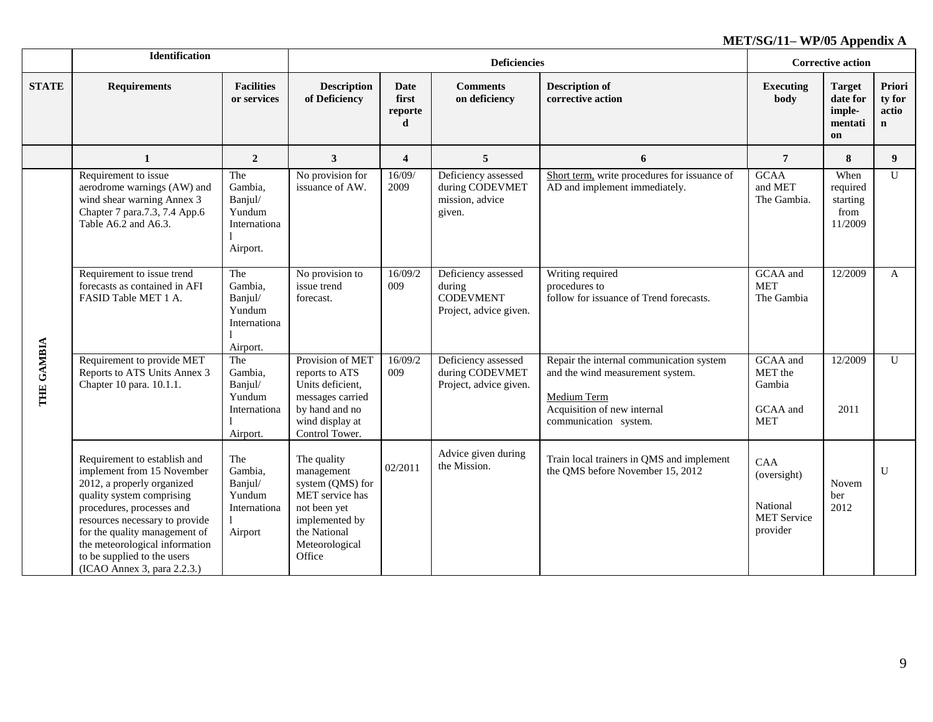|              | <b>Identification</b>                                                                                                                                                                                                                                                                                                 |                                                                 |                                                                                                                                                |                                      | <b>Deficiencies</b>                                                         |                                                                                                                                                     | <b>Corrective action</b>                                         |                                                      |                                          |
|--------------|-----------------------------------------------------------------------------------------------------------------------------------------------------------------------------------------------------------------------------------------------------------------------------------------------------------------------|-----------------------------------------------------------------|------------------------------------------------------------------------------------------------------------------------------------------------|--------------------------------------|-----------------------------------------------------------------------------|-----------------------------------------------------------------------------------------------------------------------------------------------------|------------------------------------------------------------------|------------------------------------------------------|------------------------------------------|
| <b>STATE</b> | <b>Requirements</b>                                                                                                                                                                                                                                                                                                   | <b>Facilities</b><br>or services                                | <b>Description</b><br>of Deficiency                                                                                                            | <b>Date</b><br>first<br>reporte<br>d | <b>Comments</b><br>on deficiency                                            | <b>Description of</b><br>corrective action                                                                                                          | <b>Executing</b><br>body                                         | <b>Target</b><br>date for<br>imple-<br>mentati<br>on | Priori<br>ty for<br>actio<br>$\mathbf n$ |
|              | 1                                                                                                                                                                                                                                                                                                                     | $\overline{2}$                                                  | $\overline{\mathbf{3}}$                                                                                                                        | $\overline{\mathbf{4}}$              | 5                                                                           | 6                                                                                                                                                   | $\overline{7}$                                                   | 8                                                    | 9 <sup>°</sup>                           |
|              | Requirement to issue<br>aerodrome warnings (AW) and<br>wind shear warning Annex 3<br>Chapter 7 para.7.3, 7.4 App.6<br>Table A6.2 and A6.3.                                                                                                                                                                            | The<br>Gambia,<br>Banjul/<br>Yundum<br>Internationa<br>Airport. | No provision for<br>issuance of AW.                                                                                                            | 16/09/<br>2009                       | Deficiency assessed<br>during CODEVMET<br>mission, advice<br>given.         | Short term, write procedures for issuance of<br>AD and implement immediately.                                                                       | <b>GCAA</b><br>and MET<br>The Gambia.                            | When<br>required<br>starting<br>from<br>11/2009      | $\mathbf U$                              |
|              | The<br>Requirement to issue trend<br>forecasts as contained in AFI<br>Gambia,<br>FASID Table MET 1 A.<br>Banjul/<br>Yundum<br>Internationa<br>Airport.                                                                                                                                                                |                                                                 | No provision to<br>issue trend<br>forecast.                                                                                                    | 16/09/2<br>009                       | Deficiency assessed<br>during<br><b>CODEVMENT</b><br>Project, advice given. | Writing required<br>procedures to<br>follow for issuance of Trend forecasts.                                                                        | GCAA and<br><b>MET</b><br>The Gambia                             | 12/2009                                              | $\mathbf{A}$                             |
| THE GAMBIA   | Requirement to provide MET<br>Reports to ATS Units Annex 3<br>Chapter 10 para. 10.1.1.                                                                                                                                                                                                                                | The<br>Gambia,<br>Banjul/<br>Yundum<br>Internationa<br>Airport. | Provision of MET<br>reports to ATS<br>Units deficient,<br>messages carried<br>by hand and no<br>wind display at<br>Control Tower.              | 16/09/2<br>009                       | Deficiency assessed<br>during CODEVMET<br>Project, advice given.            | Repair the internal communication system<br>and the wind measurement system.<br>Medium Term<br>Acquisition of new internal<br>communication system. | GCAA and<br>MET the<br>Gambia<br>GCAA and<br><b>MET</b>          | 12/2009<br>2011                                      | $\mathbf{U}$                             |
|              | Requirement to establish and<br>implement from 15 November<br>2012, a properly organized<br>quality system comprising<br>procedures, processes and<br>resources necessary to provide<br>for the quality management of<br>the meteorological information<br>to be supplied to the users<br>(ICAO Annex 3, para 2.2.3.) | The<br>Gambia,<br>Banjul/<br>Yundum<br>Internationa<br>Airport  | The quality<br>management<br>system (QMS) for<br>MET service has<br>not been yet<br>implemented by<br>the National<br>Meteorological<br>Office | 02/2011                              | Advice given during<br>the Mission.                                         | Train local trainers in QMS and implement<br>the QMS before November 15, 2012                                                                       | CAA<br>(oversight)<br>National<br><b>MET</b> Service<br>provider | Novem<br>ber<br>2012                                 | U                                        |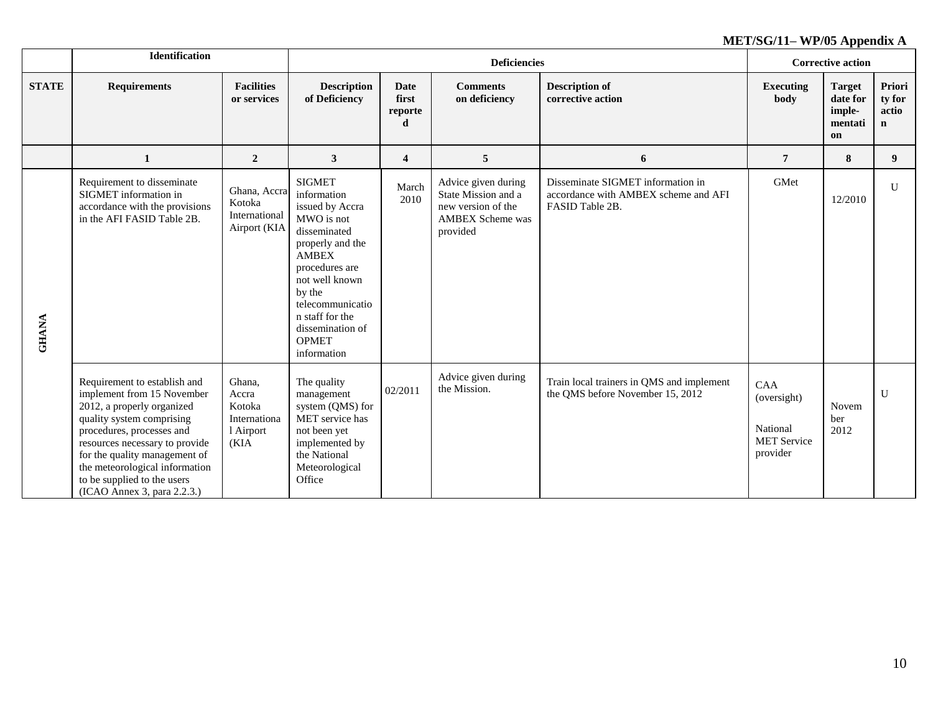|              | Identification                                                                                                                                                                                                                                                                                                        |                                                                |                                                                                                                                                                                                                                                           |                                      | <b>Deficiencies</b>                                                                                     |                                                                                              | <b>Corrective action</b>                                         |                                                      |                                           |
|--------------|-----------------------------------------------------------------------------------------------------------------------------------------------------------------------------------------------------------------------------------------------------------------------------------------------------------------------|----------------------------------------------------------------|-----------------------------------------------------------------------------------------------------------------------------------------------------------------------------------------------------------------------------------------------------------|--------------------------------------|---------------------------------------------------------------------------------------------------------|----------------------------------------------------------------------------------------------|------------------------------------------------------------------|------------------------------------------------------|-------------------------------------------|
| <b>STATE</b> | <b>Requirements</b>                                                                                                                                                                                                                                                                                                   | <b>Facilities</b><br>or services                               | <b>Description</b><br>of Deficiency                                                                                                                                                                                                                       | <b>Date</b><br>first<br>reporte<br>d | <b>Comments</b><br>on deficiency                                                                        | <b>Description of</b><br>corrective action                                                   | <b>Executing</b><br>body                                         | <b>Target</b><br>date for<br>imple-<br>mentati<br>on | Priori<br>ty for<br>actio<br>$\mathbf{n}$ |
|              | $\mathbf{1}$                                                                                                                                                                                                                                                                                                          | $\overline{2}$                                                 | $\mathbf{3}$                                                                                                                                                                                                                                              | 4                                    | $\overline{5}$                                                                                          | 6                                                                                            | $\overline{7}$                                                   | 8                                                    | 9                                         |
| <b>GHANA</b> | Requirement to disseminate<br>SIGMET information in<br>accordance with the provisions<br>in the AFI FASID Table 2B.                                                                                                                                                                                                   | Ghana, Accra<br>Kotoka<br>International<br>Airport (KIA        | <b>SIGMET</b><br>information<br>issued by Accra<br>MWO is not<br>disseminated<br>properly and the<br><b>AMBEX</b><br>procedures are<br>not well known<br>by the<br>telecommunicatio<br>n staff for the<br>dissemination of<br><b>OPMET</b><br>information | March<br>2010                        | Advice given during<br>State Mission and a<br>new version of the<br><b>AMBEX Scheme was</b><br>provided | Disseminate SIGMET information in<br>accordance with AMBEX scheme and AFI<br>FASID Table 2B. | GMet                                                             | 12/2010                                              | $\mathbf{U}$                              |
|              | Requirement to establish and<br>implement from 15 November<br>2012, a properly organized<br>quality system comprising<br>procedures, processes and<br>resources necessary to provide<br>for the quality management of<br>the meteorological information<br>to be supplied to the users<br>(ICAO Annex 3, para 2.2.3.) | Ghana,<br>Accra<br>Kotoka<br>Internationa<br>1 Airport<br>(KIA | The quality<br>management<br>system (QMS) for<br>MET service has<br>not been yet<br>implemented by<br>the National<br>Meteorological<br>Office                                                                                                            | 02/2011                              | Advice given during<br>the Mission.                                                                     | Train local trainers in QMS and implement<br>the QMS before November 15, 2012                | CAA<br>(oversight)<br>National<br><b>MET Service</b><br>provider | Novem<br>ber<br>2012                                 | U                                         |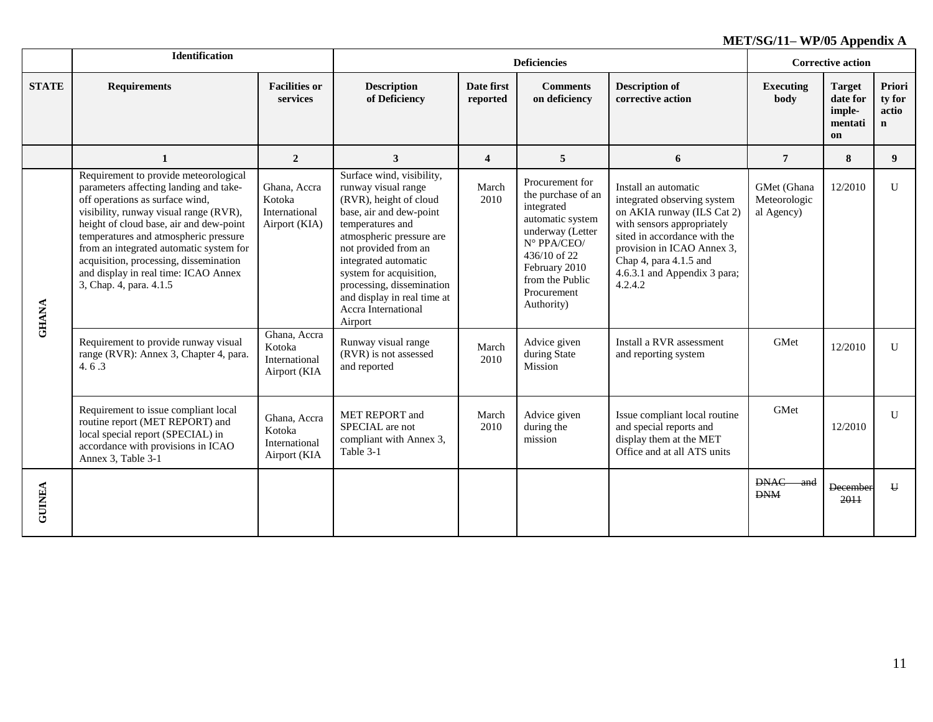|               | <b>Identification</b>                                                                                                                                                                                                                                                                                                                                                                                    |                                                          |                                                                                                                                                                                                                                                                                                                                |                         | <b>Deficiencies</b>                                                                                                                                                                         |                                                                                                                                                                                                                                                    | <b>Corrective action</b>                  |                                                      |                                          |
|---------------|----------------------------------------------------------------------------------------------------------------------------------------------------------------------------------------------------------------------------------------------------------------------------------------------------------------------------------------------------------------------------------------------------------|----------------------------------------------------------|--------------------------------------------------------------------------------------------------------------------------------------------------------------------------------------------------------------------------------------------------------------------------------------------------------------------------------|-------------------------|---------------------------------------------------------------------------------------------------------------------------------------------------------------------------------------------|----------------------------------------------------------------------------------------------------------------------------------------------------------------------------------------------------------------------------------------------------|-------------------------------------------|------------------------------------------------------|------------------------------------------|
| <b>STATE</b>  | <b>Requirements</b>                                                                                                                                                                                                                                                                                                                                                                                      | <b>Facilities or</b><br>services                         | <b>Description</b><br>of Deficiency                                                                                                                                                                                                                                                                                            | Date first<br>reported  | <b>Comments</b><br>on deficiency                                                                                                                                                            | <b>Description of</b><br>corrective action                                                                                                                                                                                                         | <b>Executing</b><br>body                  | <b>Target</b><br>date for<br>imple-<br>mentati<br>on | Priori<br>ty for<br>actio<br>$\mathbf n$ |
|               | 1                                                                                                                                                                                                                                                                                                                                                                                                        | $\overline{2}$                                           | 3                                                                                                                                                                                                                                                                                                                              | $\overline{\mathbf{4}}$ | 5                                                                                                                                                                                           | 6                                                                                                                                                                                                                                                  | $\overline{7}$                            | 8                                                    | 9                                        |
|               | Requirement to provide meteorological<br>parameters affecting landing and take-<br>off operations as surface wind,<br>visibility, runway visual range (RVR),<br>height of cloud base, air and dew-point<br>temperatures and atmospheric pressure<br>from an integrated automatic system for<br>acquisition, processing, dissemination<br>and display in real time: ICAO Annex<br>3, Chap. 4, para. 4.1.5 | Ghana, Accra<br>Kotoka<br>International<br>Airport (KIA) | Surface wind, visibility,<br>runway visual range<br>(RVR), height of cloud<br>base, air and dew-point<br>temperatures and<br>atmospheric pressure are<br>not provided from an<br>integrated automatic<br>system for acquisition,<br>processing, dissemination<br>and display in real time at<br>Accra International<br>Airport | March<br>2010           | Procurement for<br>the purchase of an<br>integrated<br>automatic system<br>underway (Letter<br>N° PPA/CEO/<br>436/10 of 22<br>February 2010<br>from the Public<br>Procurement<br>Authority) | Install an automatic<br>integrated observing system<br>on AKIA runway (ILS Cat 2)<br>with sensors appropriately<br>sited in accordance with the<br>provision in ICAO Annex 3,<br>Chap 4, para 4.1.5 and<br>4.6.3.1 and Appendix 3 para;<br>4.2.4.2 | GMet (Ghana<br>Meteorologic<br>al Agency) | 12/2010                                              | U                                        |
| <b>GHANA</b>  | Requirement to provide runway visual<br>range (RVR): Annex 3, Chapter 4, para.<br>4.6.3                                                                                                                                                                                                                                                                                                                  | Ghana, Accra<br>Kotoka<br>International<br>Airport (KIA  | Runway visual range<br>(RVR) is not assessed<br>and reported                                                                                                                                                                                                                                                                   | March<br>2010           | Advice given<br>during State<br>Mission                                                                                                                                                     | Install a RVR assessment<br>and reporting system                                                                                                                                                                                                   | GMet                                      | 12/2010                                              | U                                        |
|               | Requirement to issue compliant local<br>routine report (MET REPORT) and<br>local special report (SPECIAL) in<br>accordance with provisions in ICAO<br>Annex 3, Table 3-1                                                                                                                                                                                                                                 | Ghana, Accra<br>Kotoka<br>International<br>Airport (KIA  | <b>MET REPORT</b> and<br>SPECIAL are not<br>compliant with Annex 3,<br>Table 3-1                                                                                                                                                                                                                                               | March<br>2010           | Advice given<br>during the<br>mission                                                                                                                                                       | Issue compliant local routine<br>and special reports and<br>display them at the MET<br>Office and at all ATS units                                                                                                                                 | GMet                                      | 12/2010                                              | $\mathbf{U}$                             |
| <b>GUINEA</b> |                                                                                                                                                                                                                                                                                                                                                                                                          |                                                          |                                                                                                                                                                                                                                                                                                                                |                         |                                                                                                                                                                                             |                                                                                                                                                                                                                                                    | <b>DNAC</b><br>and<br><b>DNM</b>          | <b>December</b><br>2011                              | $\mathbf{H}$                             |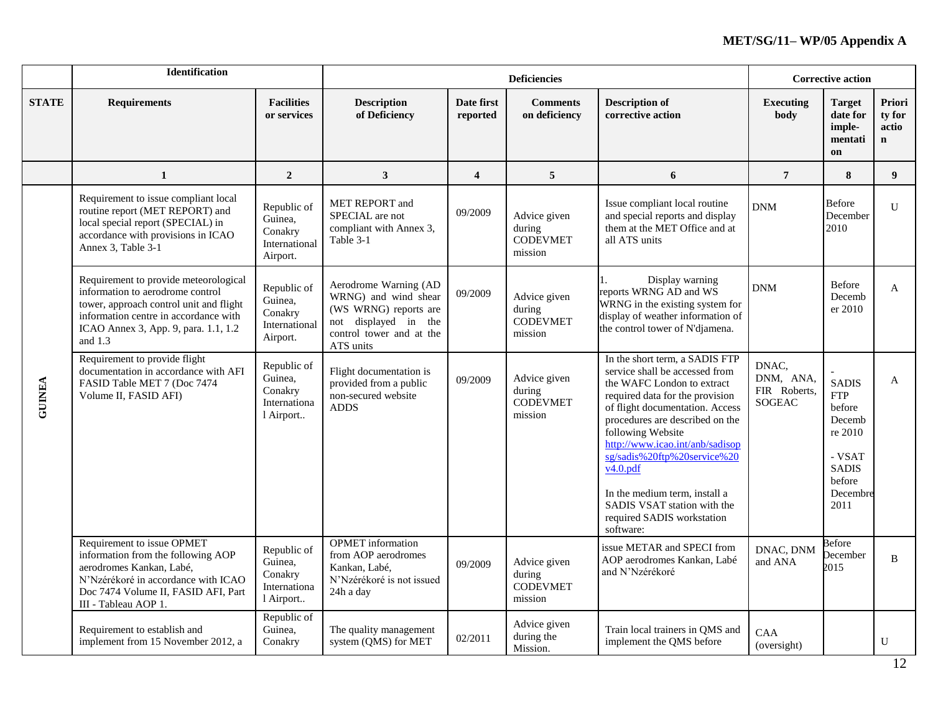|               | <b>Identification</b>                                                                                                                                                                                              |                                                                |                                                                                                                                         |                         | <b>Deficiencies</b>                                  |                                                                                                                                                                                                                                                                                                                                                                                                                          |                                                     | <b>Corrective action</b>                                                                                          |                                           |
|---------------|--------------------------------------------------------------------------------------------------------------------------------------------------------------------------------------------------------------------|----------------------------------------------------------------|-----------------------------------------------------------------------------------------------------------------------------------------|-------------------------|------------------------------------------------------|--------------------------------------------------------------------------------------------------------------------------------------------------------------------------------------------------------------------------------------------------------------------------------------------------------------------------------------------------------------------------------------------------------------------------|-----------------------------------------------------|-------------------------------------------------------------------------------------------------------------------|-------------------------------------------|
| <b>STATE</b>  | <b>Requirements</b>                                                                                                                                                                                                | <b>Facilities</b><br>or services                               | <b>Description</b><br>of Deficiency                                                                                                     | Date first<br>reported  | <b>Comments</b><br>on deficiency                     | <b>Description of</b><br>corrective action                                                                                                                                                                                                                                                                                                                                                                               | <b>Executing</b><br>body                            | <b>Target</b><br>date for<br>imple-<br>mentati<br>on                                                              | Priori<br>ty for<br>actio<br>$\mathbf{n}$ |
|               | 1                                                                                                                                                                                                                  | $\boldsymbol{2}$                                               | $\mathbf{3}$                                                                                                                            | $\overline{\mathbf{4}}$ | 5                                                    | 6                                                                                                                                                                                                                                                                                                                                                                                                                        | $7\phantom{.0}$                                     | 8                                                                                                                 | 9                                         |
|               | Requirement to issue compliant local<br>routine report (MET REPORT) and<br>local special report (SPECIAL) in<br>accordance with provisions in ICAO<br>Annex 3, Table 3-1                                           | Republic of<br>Guinea,<br>Conakry<br>International<br>Airport. | MET REPORT and<br>SPECIAL are not<br>compliant with Annex 3,<br>Table 3-1                                                               | 09/2009                 | Advice given<br>during<br><b>CODEVMET</b><br>mission | Issue compliant local routine<br>and special reports and display<br>them at the MET Office and at<br>all ATS units                                                                                                                                                                                                                                                                                                       | <b>DNM</b>                                          | <b>Before</b><br>December<br>2010                                                                                 | U                                         |
|               | Requirement to provide meteorological<br>information to aerodrome control<br>tower, approach control unit and flight<br>information centre in accordance with<br>ICAO Annex 3, App. 9, para. 1.1, 1.2<br>and $1.3$ | Republic of<br>Guinea,<br>Conakry<br>International<br>Airport. | Aerodrome Warning (AD<br>WRNG) and wind shear<br>(WS WRNG) reports are<br>not displayed in the<br>control tower and at the<br>ATS units | 09/2009                 | Advice given<br>during<br><b>CODEVMET</b><br>mission | Display warning<br>reports WRNG AD and WS<br>WRNG in the existing system for<br>display of weather information of<br>the control tower of N'djamena.                                                                                                                                                                                                                                                                     | <b>DNM</b>                                          | Before<br>Decemb<br>er 2010                                                                                       | $\mathbf{A}$                              |
| <b>GUINEA</b> | Requirement to provide flight<br>documentation in accordance with AFI<br>FASID Table MET 7 (Doc 7474<br>Volume II, FASID AFI)                                                                                      | Republic of<br>Guinea,<br>Conakry<br>Internationa<br>l Airport | Flight documentation is<br>provided from a public<br>non-secured website<br><b>ADDS</b>                                                 | 09/2009                 | Advice given<br>during<br><b>CODEVMET</b><br>mission | In the short term, a SADIS FTP<br>service shall be accessed from<br>the WAFC London to extract<br>required data for the provision<br>of flight documentation. Access<br>procedures are described on the<br>following Website<br>http://www.icao.int/anb/sadisop<br>sg/sadis%20ftp%20service%20<br>$v4.0.$ pdf<br>In the medium term, install a<br>SADIS VSAT station with the<br>required SADIS workstation<br>software: | DNAC,<br>DNM, ANA,<br>FIR Roberts,<br><b>SOGEAC</b> | <b>SADIS</b><br><b>FTP</b><br>before<br>Decemb<br>re 2010<br>- VSAT<br><b>SADIS</b><br>before<br>Decembre<br>2011 | A                                         |
|               | Requirement to issue OPMET<br>information from the following AOP<br>aerodromes Kankan, Labé,<br>N'Nzérékoré in accordance with ICAO<br>Doc 7474 Volume II, FASID AFI, Part<br>III - Tableau AOP 1.                 | Republic of<br>Guinea,<br>Conakry<br>Internationa<br>l Airport | <b>OPMET</b> information<br>from AOP aerodromes<br>Kankan, Labé,<br>N'Nzérékoré is not issued<br>24h a day                              | 09/2009                 | Advice given<br>during<br><b>CODEVMET</b><br>mission | issue METAR and SPECI from<br>AOP aerodromes Kankan, Labé<br>and N'Nzérékoré                                                                                                                                                                                                                                                                                                                                             | DNAC, DNM<br>and ANA                                | Before<br>December<br>2015                                                                                        | B                                         |
|               | Requirement to establish and<br>implement from 15 November 2012, a                                                                                                                                                 | Republic of<br>Guinea,<br>Conakry                              | The quality management<br>system (QMS) for MET                                                                                          | 02/2011                 | Advice given<br>during the<br>Mission.               | Train local trainers in QMS and<br>implement the QMS before                                                                                                                                                                                                                                                                                                                                                              | CAA<br>(oversight)                                  |                                                                                                                   | $\mathbf{U}$                              |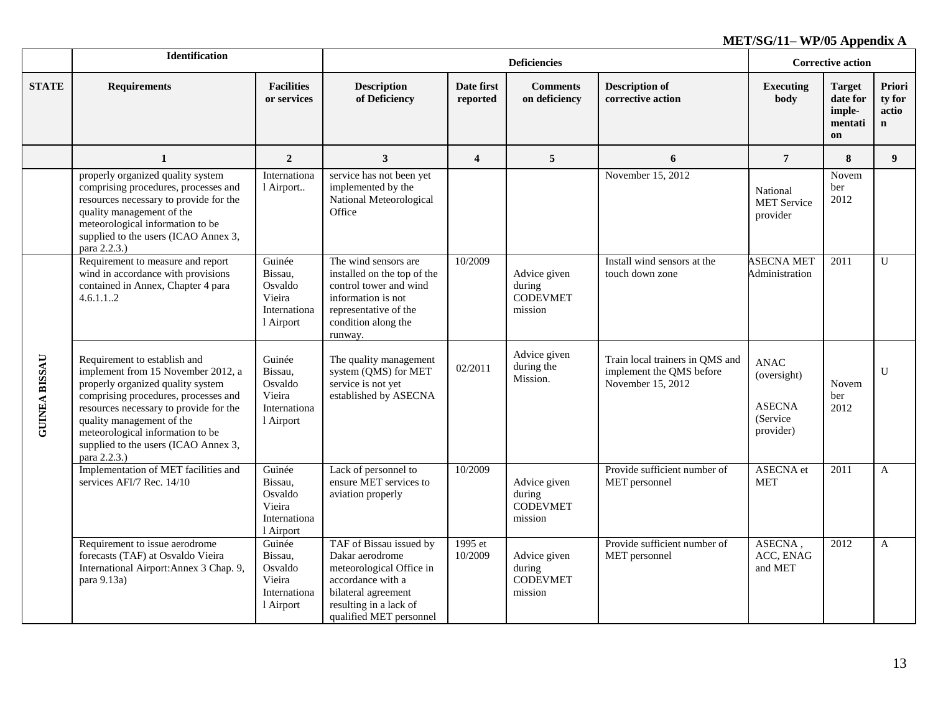|                      | Identification                                                                                                                                                                                                                                                                                                     |                                                                     |                                                                                                                                                                         |                         | <b>Deficiencies</b>                                  |                                                                                  | <b>Corrective action</b>                                             |                                                      |                                          |
|----------------------|--------------------------------------------------------------------------------------------------------------------------------------------------------------------------------------------------------------------------------------------------------------------------------------------------------------------|---------------------------------------------------------------------|-------------------------------------------------------------------------------------------------------------------------------------------------------------------------|-------------------------|------------------------------------------------------|----------------------------------------------------------------------------------|----------------------------------------------------------------------|------------------------------------------------------|------------------------------------------|
| <b>STATE</b>         | <b>Requirements</b>                                                                                                                                                                                                                                                                                                | <b>Facilities</b><br>or services                                    | <b>Description</b><br>of Deficiency                                                                                                                                     | Date first<br>reported  | <b>Comments</b><br>on deficiency                     | <b>Description of</b><br>corrective action                                       | <b>Executing</b><br>body                                             | <b>Target</b><br>date for<br>imple-<br>mentati<br>on | Priori<br>ty for<br>actio<br>$\mathbf n$ |
|                      | $\mathbf{1}$                                                                                                                                                                                                                                                                                                       | $\boldsymbol{2}$                                                    | 3                                                                                                                                                                       | $\overline{\mathbf{4}}$ | 5                                                    | 6                                                                                | $\overline{7}$                                                       | 8                                                    | 9 <sup>°</sup>                           |
|                      | properly organized quality system<br>comprising procedures, processes and<br>resources necessary to provide for the<br>quality management of the<br>meteorological information to be<br>supplied to the users (ICAO Annex 3,<br>para 2.2.3.)                                                                       | Internationa<br>1 Airport                                           | service has not been yet<br>implemented by the<br>National Meteorological<br>Office                                                                                     |                         |                                                      | November 15, 2012                                                                | National<br><b>MET</b> Service<br>provider                           | Novem<br>ber<br>2012                                 |                                          |
|                      | Requirement to measure and report<br>wind in accordance with provisions<br>contained in Annex, Chapter 4 para<br>4.6.1.12                                                                                                                                                                                          | Guinée<br>Bissau,<br>Osvaldo<br>Vieira<br>Internationa<br>l Airport | The wind sensors are<br>installed on the top of the<br>control tower and wind<br>information is not<br>representative of the<br>condition along the<br>runway.          | 10/2009                 | Advice given<br>during<br><b>CODEVMET</b><br>mission | Install wind sensors at the<br>touch down zone                                   | <b>ASECNA MET</b><br>Administration                                  | 2011                                                 | $\mathbf U$                              |
| <b>GUINEA BISSAU</b> | Requirement to establish and<br>implement from 15 November 2012, a<br>properly organized quality system<br>comprising procedures, processes and<br>resources necessary to provide for the<br>quality management of the<br>meteorological information to be<br>supplied to the users (ICAO Annex 3,<br>para 2.2.3.) | Guinée<br>Bissau,<br>Osvaldo<br>Vieira<br>Internationa<br>1 Airport | The quality management<br>system (QMS) for MET<br>service is not yet<br>established by ASECNA                                                                           | 02/2011                 | Advice given<br>during the<br>Mission.               | Train local trainers in QMS and<br>implement the QMS before<br>November 15, 2012 | <b>ANAC</b><br>(oversight)<br><b>ASECNA</b><br>(Service<br>provider) | Novem<br>ber<br>2012                                 | U                                        |
|                      | Implementation of MET facilities and<br>services AFI/7 Rec. 14/10                                                                                                                                                                                                                                                  | Guinée<br>Bissau,<br>Osvaldo<br>Vieira<br>Internationa<br>1 Airport | Lack of personnel to<br>ensure MET services to<br>aviation properly                                                                                                     | 10/2009                 | Advice given<br>during<br><b>CODEVMET</b><br>mission | Provide sufficient number of<br>MET personnel                                    | ASECNA et<br><b>MET</b>                                              | 2011                                                 | $\mathbf{A}$                             |
|                      | Requirement to issue aerodrome<br>forecasts (TAF) at Osvaldo Vieira<br>International Airport: Annex 3 Chap. 9,<br>para 9.13a)                                                                                                                                                                                      | Guinée<br>Bissau,<br>Osvaldo<br>Vieira<br>Internationa<br>1 Airport | TAF of Bissau issued by<br>Dakar aerodrome<br>meteorological Office in<br>accordance with a<br>bilateral agreement<br>resulting in a lack of<br>qualified MET personnel | 1995 et<br>10/2009      | Advice given<br>during<br><b>CODEVMET</b><br>mission | Provide sufficient number of<br>MET personnel                                    | ASECNA,<br>ACC, ENAG<br>and MET                                      | 2012                                                 | $\mathbf{A}$                             |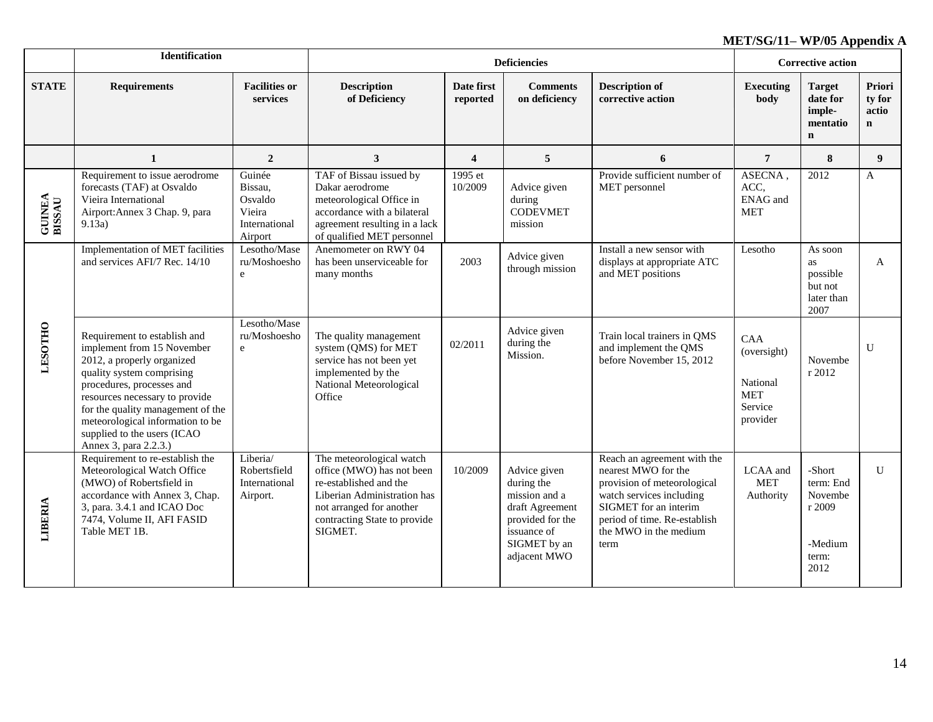|                         | Identification                                                                                                                                                                                                                                                                                                        |                                                                    |                                                                                                                                                                                       |                        | <b>Deficiencies</b>                                                                                                               |                                                                                                                                                                                                         | <b>Corrective action</b>                                                   |                                                                      |                                          |
|-------------------------|-----------------------------------------------------------------------------------------------------------------------------------------------------------------------------------------------------------------------------------------------------------------------------------------------------------------------|--------------------------------------------------------------------|---------------------------------------------------------------------------------------------------------------------------------------------------------------------------------------|------------------------|-----------------------------------------------------------------------------------------------------------------------------------|---------------------------------------------------------------------------------------------------------------------------------------------------------------------------------------------------------|----------------------------------------------------------------------------|----------------------------------------------------------------------|------------------------------------------|
| <b>STATE</b>            | <b>Requirements</b>                                                                                                                                                                                                                                                                                                   | <b>Facilities or</b><br>services                                   | <b>Description</b><br>of Deficiency                                                                                                                                                   | Date first<br>reported | <b>Comments</b><br>on deficiency                                                                                                  | <b>Description of</b><br>corrective action                                                                                                                                                              | Executing<br>body                                                          | <b>Target</b><br>date for<br>imple-<br>mentatio<br>$\mathbf n$       | Priori<br>ty for<br>actio<br>$\mathbf n$ |
|                         | 1                                                                                                                                                                                                                                                                                                                     | $\overline{2}$                                                     | 3                                                                                                                                                                                     | 4                      | 5                                                                                                                                 | 6                                                                                                                                                                                                       | $\overline{7}$                                                             | 8                                                                    | $\mathbf{Q}$                             |
| <b>GUINEA</b><br>BISSAU | Requirement to issue aerodrome<br>forecasts (TAF) at Osvaldo<br>Vieira International<br>Airport: Annex 3 Chap. 9, para<br>9.13a)                                                                                                                                                                                      | Guinée<br>Bissau.<br>Osvaldo<br>Vieira<br>International<br>Airport | TAF of Bissau issued by<br>Dakar aerodrome<br>meteorological Office in<br>accordance with a bilateral<br>agreement resulting in a lack<br>of qualified MET personnel                  | 1995 et<br>10/2009     | Advice given<br>during<br><b>CODEVMET</b><br>mission                                                                              | Provide sufficient number of<br>MET personnel                                                                                                                                                           | ASECNA,<br>ACC,<br>ENAG and<br><b>MET</b>                                  | 2012                                                                 | $\mathbf{A}$                             |
|                         | <b>Implementation of MET facilities</b><br>and services AFI/7 Rec. 14/10                                                                                                                                                                                                                                              | Lesotho/Mase<br>ru/Moshoesho<br>e                                  | Anemometer on RWY 04<br>has been unserviceable for<br>many months                                                                                                                     | 2003                   | Advice given<br>through mission                                                                                                   | Install a new sensor with<br>displays at appropriate ATC<br>and MET positions                                                                                                                           | Lesotho                                                                    | As soon<br><b>as</b><br>possible<br>but not<br>later than<br>2007    | A                                        |
| <b>LESOTHO</b>          | Requirement to establish and<br>implement from 15 November<br>2012, a properly organized<br>quality system comprising<br>procedures, processes and<br>resources necessary to provide<br>for the quality management of the<br>meteorological information to be<br>supplied to the users (ICAO<br>Annex 3, para 2.2.3.) | Lesotho/Mase<br>ru/Moshoesho<br>e                                  | The quality management<br>system (QMS) for MET<br>service has not been yet<br>implemented by the<br>National Meteorological<br>Office                                                 | 02/2011                | Advice given<br>during the<br>Mission.                                                                                            | Train local trainers in QMS<br>and implement the QMS<br>before November 15, 2012                                                                                                                        | <b>CAA</b><br>(oversight)<br>National<br><b>MET</b><br>Service<br>provider | Novembe<br>r 2012                                                    | U                                        |
| <b>LIBERIA</b>          | Requirement to re-establish the<br>Meteorological Watch Office<br>(MWO) of Robertsfield in<br>accordance with Annex 3, Chap.<br>3, para. 3.4.1 and ICAO Doc<br>7474, Volume II, AFI FASID<br>Table MET 1B.                                                                                                            | Liberia/<br>Robertsfield<br>International<br>Airport.              | The meteorological watch<br>office (MWO) has not been<br>re-established and the<br>Liberian Administration has<br>not arranged for another<br>contracting State to provide<br>SIGMET. | 10/2009                | Advice given<br>during the<br>mission and a<br>draft Agreement<br>provided for the<br>issuance of<br>SIGMET by an<br>adjacent MWO | Reach an agreement with the<br>nearest MWO for the<br>provision of meteorological<br>watch services including<br>SIGMET for an interim<br>period of time. Re-establish<br>the MWO in the medium<br>term | LCAA and<br><b>MET</b><br>Authority                                        | -Short<br>term: End<br>Novembe<br>r 2009<br>-Medium<br>term:<br>2012 | $\mathbf{U}$                             |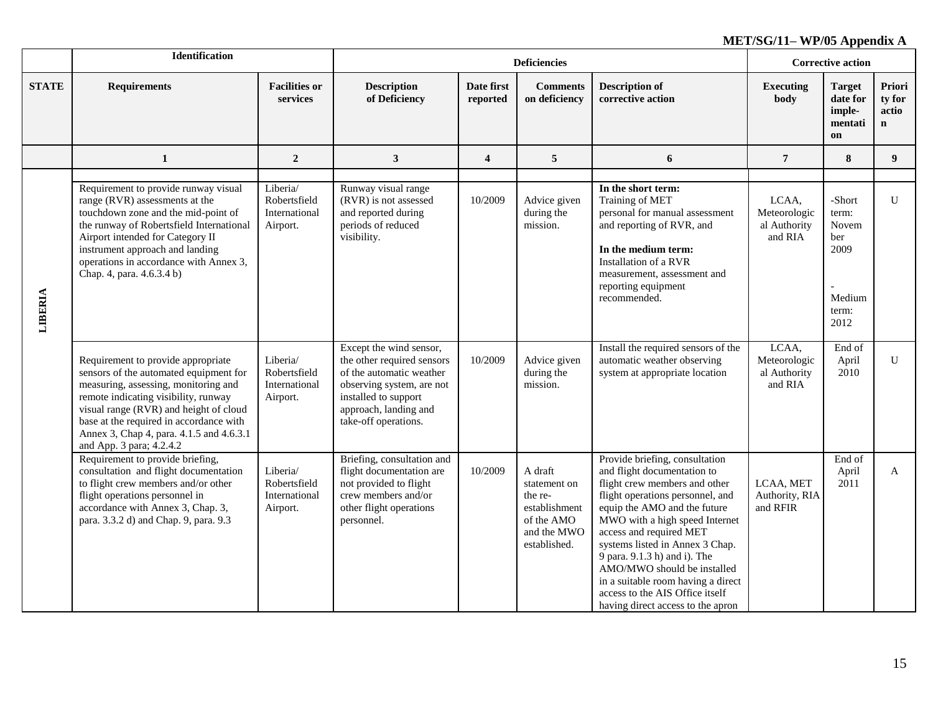|              | <b>Identification</b>                                                                                                                                                                                                                                                                                                     |                                                       |                                                                                                                                                                                         |                        | <b>Deficiencies</b>                                                                              |                                                                                                                                                                                                                                                                                                                                                                                                                                                 |                                                  | <b>Corrective action</b>                                           |                                          |
|--------------|---------------------------------------------------------------------------------------------------------------------------------------------------------------------------------------------------------------------------------------------------------------------------------------------------------------------------|-------------------------------------------------------|-----------------------------------------------------------------------------------------------------------------------------------------------------------------------------------------|------------------------|--------------------------------------------------------------------------------------------------|-------------------------------------------------------------------------------------------------------------------------------------------------------------------------------------------------------------------------------------------------------------------------------------------------------------------------------------------------------------------------------------------------------------------------------------------------|--------------------------------------------------|--------------------------------------------------------------------|------------------------------------------|
| <b>STATE</b> | <b>Requirements</b>                                                                                                                                                                                                                                                                                                       | <b>Facilities or</b><br>services                      | <b>Description</b><br>of Deficiency                                                                                                                                                     | Date first<br>reported | <b>Comments</b><br>on deficiency                                                                 | <b>Description of</b><br>corrective action                                                                                                                                                                                                                                                                                                                                                                                                      | <b>Executing</b><br>body                         | Target<br>date for<br>imple-<br>mentati<br>on                      | Priori<br>ty for<br>actio<br>$\mathbf n$ |
|              | 1                                                                                                                                                                                                                                                                                                                         | $\overline{2}$                                        | $\mathbf{3}$                                                                                                                                                                            | $\overline{4}$         | 5                                                                                                | 6                                                                                                                                                                                                                                                                                                                                                                                                                                               | $\overline{7}$                                   | 8                                                                  | 9                                        |
| LIBERIA      | Requirement to provide runway visual<br>range (RVR) assessments at the<br>touchdown zone and the mid-point of<br>the runway of Robertsfield International<br>Airport intended for Category II<br>instrument approach and landing<br>operations in accordance with Annex 3,<br>Chap. 4, para. 4.6.3.4 b)                   | Liberia/<br>Robertsfield<br>International<br>Airport. | Runway visual range<br>(RVR) is not assessed<br>and reported during<br>periods of reduced<br>visibility.                                                                                | 10/2009                | Advice given<br>during the<br>mission.                                                           | In the short term:<br>Training of MET<br>personal for manual assessment<br>and reporting of RVR, and<br>In the medium term:<br>Installation of a RVR<br>measurement, assessment and<br>reporting equipment<br>recommended.                                                                                                                                                                                                                      | LCAA,<br>Meteorologic<br>al Authority<br>and RIA | -Short<br>term:<br>Novem<br>ber<br>2009<br>Medium<br>term:<br>2012 | U                                        |
|              | Requirement to provide appropriate<br>sensors of the automated equipment for<br>measuring, assessing, monitoring and<br>remote indicating visibility, runway<br>visual range (RVR) and height of cloud<br>base at the required in accordance with<br>Annex 3, Chap 4, para. 4.1.5 and 4.6.3.1<br>and App. 3 para; 4.2.4.2 | Liberia/<br>Robertsfield<br>International<br>Airport. | Except the wind sensor,<br>the other required sensors<br>of the automatic weather<br>observing system, are not<br>installed to support<br>approach, landing and<br>take-off operations. | 10/2009                | Advice given<br>during the<br>mission.                                                           | Install the required sensors of the<br>automatic weather observing<br>system at appropriate location                                                                                                                                                                                                                                                                                                                                            | LCAA,<br>Meteorologic<br>al Authority<br>and RIA | End of<br>April<br>2010                                            | U                                        |
|              | Requirement to provide briefing,<br>consultation and flight documentation<br>to flight crew members and/or other<br>flight operations personnel in<br>accordance with Annex 3, Chap. 3,<br>para. 3.3.2 d) and Chap. 9, para. 9.3                                                                                          | Liberia/<br>Robertsfield<br>International<br>Airport. | Briefing, consultation and<br>flight documentation are<br>not provided to flight<br>crew members and/or<br>other flight operations<br>personnel.                                        | 10/2009                | A draft<br>statement on<br>the re-<br>establishment<br>of the AMO<br>and the MWO<br>established. | Provide briefing, consultation<br>and flight documentation to<br>flight crew members and other<br>flight operations personnel, and<br>equip the AMO and the future<br>MWO with a high speed Internet<br>access and required MET<br>systems listed in Annex 3 Chap.<br>9 para. 9.1.3 h) and i). The<br>AMO/MWO should be installed<br>in a suitable room having a direct<br>access to the AIS Office itself<br>having direct access to the apron | LCAA, MET<br>Authority, RIA<br>and RFIR          | End of<br>April<br>2011                                            | $\mathbf{A}$                             |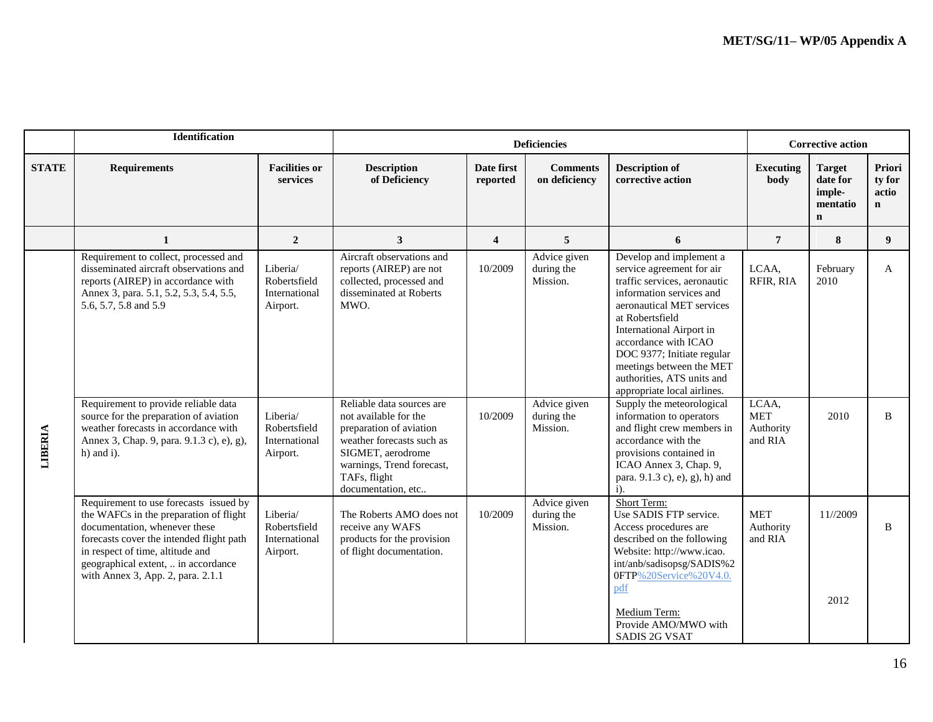|                | <b>Identification</b>                                                                                                                                                                                                                                                         |                                                       |                                                                                                                                                                       |                         | <b>Deficiencies</b>                                    |                                                                                                                                                                                                                                                                                                                                                                          | <b>Corrective action</b>           |                                                                |                                          |
|----------------|-------------------------------------------------------------------------------------------------------------------------------------------------------------------------------------------------------------------------------------------------------------------------------|-------------------------------------------------------|-----------------------------------------------------------------------------------------------------------------------------------------------------------------------|-------------------------|--------------------------------------------------------|--------------------------------------------------------------------------------------------------------------------------------------------------------------------------------------------------------------------------------------------------------------------------------------------------------------------------------------------------------------------------|------------------------------------|----------------------------------------------------------------|------------------------------------------|
| <b>STATE</b>   | <b>Requirements</b>                                                                                                                                                                                                                                                           | <b>Facilities or</b><br>services                      | <b>Description</b><br>of Deficiency                                                                                                                                   | Date first<br>reported  | <b>Comments</b><br>on deficiency                       | <b>Description of</b><br>corrective action                                                                                                                                                                                                                                                                                                                               | <b>Executing</b><br>body           | <b>Target</b><br>date for<br>imple-<br>mentatio<br>$\mathbf n$ | Priori<br>ty for<br>actio<br>$\mathbf n$ |
|                | $\mathbf{1}$                                                                                                                                                                                                                                                                  | $\overline{2}$                                        | 3                                                                                                                                                                     | $\overline{\mathbf{4}}$ | $5\overline{5}$                                        | 6                                                                                                                                                                                                                                                                                                                                                                        | $\overline{7}$                     | 8                                                              | 9 <sup>°</sup>                           |
|                | Requirement to collect, processed and<br>disseminated aircraft observations and<br>reports (AIREP) in accordance with<br>Annex 3, para. 5.1, 5.2, 5.3, 5.4, 5.5,<br>5.6, 5.7, 5.8 and 5.9<br>Requirement to provide reliable data                                             | Liberia/<br>Robertsfield<br>International<br>Airport. | Aircraft observations and<br>reports (AIREP) are not<br>collected, processed and<br>disseminated at Roberts<br>MWO.<br>Reliable data sources are                      | 10/2009                 | Advice given<br>during the<br>Mission.<br>Advice given | Develop and implement a<br>service agreement for air<br>traffic services, aeronautic<br>information services and<br>aeronautical MET services<br>at Robertsfield<br>International Airport in<br>accordance with ICAO<br>DOC 9377; Initiate regular<br>meetings between the MET<br>authorities, ATS units and<br>appropriate local airlines.<br>Supply the meteorological | LCAA,<br>RFIR, RIA<br>LCAA,        | February<br>2010                                               | A                                        |
| <b>LIBERIA</b> | source for the preparation of aviation<br>weather forecasts in accordance with<br>Annex 3, Chap. 9, para. 9.1.3 c), e), g),<br>$h)$ and i).                                                                                                                                   | Liberia/<br>Robertsfield<br>International<br>Airport. | not available for the<br>preparation of aviation<br>weather forecasts such as<br>SIGMET, aerodrome<br>warnings, Trend forecast,<br>TAFs, flight<br>documentation, etc | 10/2009                 | during the<br>Mission.                                 | information to operators<br>and flight crew members in<br>accordance with the<br>provisions contained in<br>ICAO Annex 3, Chap. 9,<br>para. 9.1.3 c), e), g), h) and<br>$i$ ).                                                                                                                                                                                           | <b>MET</b><br>Authority<br>and RIA | 2010                                                           | B                                        |
|                | Requirement to use forecasts issued by<br>the WAFCs in the preparation of flight<br>documentation, whenever these<br>forecasts cover the intended flight path<br>in respect of time, altitude and<br>geographical extent,  in accordance<br>with Annex 3, App. 2, para. 2.1.1 | Liberia/<br>Robertsfield<br>International<br>Airport. | The Roberts AMO does not<br>receive any WAFS<br>products for the provision<br>of flight documentation.                                                                | 10/2009                 | Advice given<br>during the<br>Mission.                 | Short Term:<br>Use SADIS FTP service.<br>Access procedures are<br>described on the following<br>Website: http://www.icao.<br>int/anb/sadisopsg/SADIS%2<br>0FTP%20Service%20V4.0.<br>pdf                                                                                                                                                                                  | <b>MET</b><br>Authority<br>and RIA | 11//2009                                                       | <sub>B</sub>                             |
|                |                                                                                                                                                                                                                                                                               |                                                       |                                                                                                                                                                       |                         |                                                        | Medium Term:<br>Provide AMO/MWO with<br><b>SADIS 2G VSAT</b>                                                                                                                                                                                                                                                                                                             |                                    | 2012                                                           |                                          |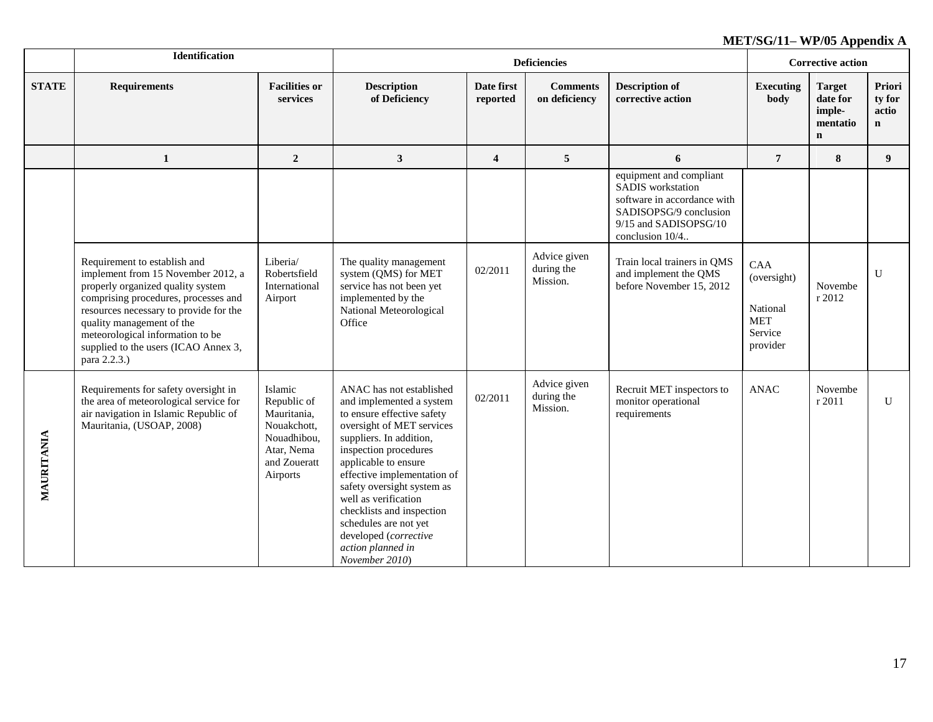|              | Identification                                                                                                                                                                                                                                                                                                     |                                                                                                               |                                                                                                                                                                                                                                                                                                                                                                                                        |                         | <b>Deficiencies</b>                    |                                                                                                                                                   | <b>Corrective action</b>                                                   |                                                                |                                          |
|--------------|--------------------------------------------------------------------------------------------------------------------------------------------------------------------------------------------------------------------------------------------------------------------------------------------------------------------|---------------------------------------------------------------------------------------------------------------|--------------------------------------------------------------------------------------------------------------------------------------------------------------------------------------------------------------------------------------------------------------------------------------------------------------------------------------------------------------------------------------------------------|-------------------------|----------------------------------------|---------------------------------------------------------------------------------------------------------------------------------------------------|----------------------------------------------------------------------------|----------------------------------------------------------------|------------------------------------------|
| <b>STATE</b> | <b>Requirements</b>                                                                                                                                                                                                                                                                                                | <b>Facilities or</b><br>services                                                                              | <b>Description</b><br>of Deficiency                                                                                                                                                                                                                                                                                                                                                                    | Date first<br>reported  | <b>Comments</b><br>on deficiency       | <b>Description of</b><br>corrective action                                                                                                        | <b>Executing</b><br>body                                                   | <b>Target</b><br>date for<br>imple-<br>mentatio<br>$\mathbf n$ | Priori<br>ty for<br>actio<br>$\mathbf n$ |
|              | $\mathbf{1}$                                                                                                                                                                                                                                                                                                       | $\overline{2}$                                                                                                | $\mathbf{3}$                                                                                                                                                                                                                                                                                                                                                                                           | $\overline{\mathbf{4}}$ | $5\phantom{.0}$                        | 6                                                                                                                                                 | $\overline{7}$                                                             | 8                                                              | 9                                        |
|              |                                                                                                                                                                                                                                                                                                                    |                                                                                                               |                                                                                                                                                                                                                                                                                                                                                                                                        |                         |                                        | equipment and compliant<br>SADIS workstation<br>software in accordance with<br>SADISOPSG/9 conclusion<br>9/15 and SADISOPSG/10<br>conclusion 10/4 |                                                                            |                                                                |                                          |
|              | Requirement to establish and<br>implement from 15 November 2012, a<br>properly organized quality system<br>comprising procedures, processes and<br>resources necessary to provide for the<br>quality management of the<br>meteorological information to be<br>supplied to the users (ICAO Annex 3,<br>para 2.2.3.) | Liberia/<br>Robertsfield<br>International<br>Airport                                                          | The quality management<br>system (QMS) for MET<br>service has not been yet<br>implemented by the<br>National Meteorological<br>Office                                                                                                                                                                                                                                                                  | 02/2011                 | Advice given<br>during the<br>Mission. | Train local trainers in QMS<br>and implement the QMS<br>before November 15, 2012                                                                  | <b>CAA</b><br>(oversight)<br>National<br><b>MET</b><br>Service<br>provider | Novembe<br>r 2012                                              | $\overline{U}$                           |
| MAURITANIA   | Requirements for safety oversight in<br>the area of meteorological service for<br>air navigation in Islamic Republic of<br>Mauritania, (USOAP, 2008)                                                                                                                                                               | Islamic<br>Republic of<br>Mauritania,<br>Nouakchott,<br>Nouadhibou,<br>Atar, Nema<br>and Zoueratt<br>Airports | ANAC has not established<br>and implemented a system<br>to ensure effective safety<br>oversight of MET services<br>suppliers. In addition,<br>inspection procedures<br>applicable to ensure<br>effective implementation of<br>safety oversight system as<br>well as verification<br>checklists and inspection<br>schedules are not yet<br>developed (corrective<br>action planned in<br>November 2010) | 02/2011                 | Advice given<br>during the<br>Mission. | Recruit MET inspectors to<br>monitor operational<br>requirements                                                                                  | <b>ANAC</b>                                                                | Novembe<br>r 2011                                              | U                                        |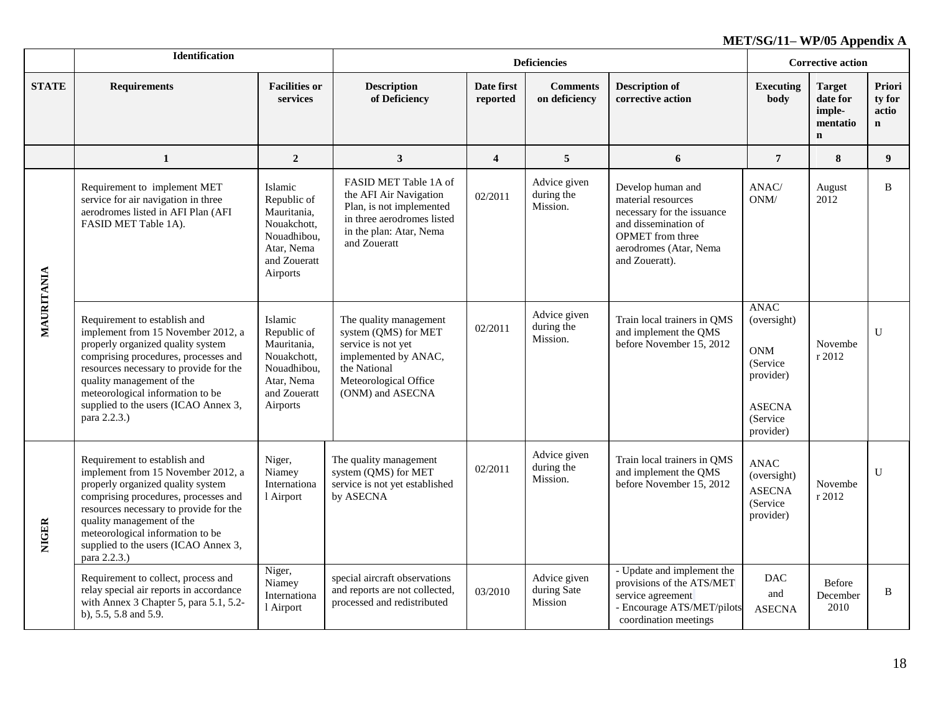|              | Identification                                                                                                                                                                                                                                                                                                     |                                                                                                               |                                                                                                                                                           |                         | <b>Corrective action</b>               |                                                                                                                                                                      |                                                                                                              |                                                                |                                          |
|--------------|--------------------------------------------------------------------------------------------------------------------------------------------------------------------------------------------------------------------------------------------------------------------------------------------------------------------|---------------------------------------------------------------------------------------------------------------|-----------------------------------------------------------------------------------------------------------------------------------------------------------|-------------------------|----------------------------------------|----------------------------------------------------------------------------------------------------------------------------------------------------------------------|--------------------------------------------------------------------------------------------------------------|----------------------------------------------------------------|------------------------------------------|
| <b>STATE</b> | <b>Requirements</b>                                                                                                                                                                                                                                                                                                | <b>Facilities or</b><br>services                                                                              | <b>Description</b><br>of Deficiency                                                                                                                       | Date first<br>reported  | <b>Comments</b><br>on deficiency       | <b>Description of</b><br>corrective action                                                                                                                           | <b>Executing</b><br>body                                                                                     | <b>Target</b><br>date for<br>imple-<br>mentatio<br>$\mathbf n$ | Priori<br>ty for<br>actio<br>$\mathbf n$ |
|              | $\mathbf{1}$                                                                                                                                                                                                                                                                                                       | $\overline{2}$                                                                                                | $\mathbf{3}$                                                                                                                                              | $\overline{\mathbf{4}}$ | 5                                      | 6                                                                                                                                                                    | $\overline{7}$                                                                                               | 8                                                              | 9 <sup>°</sup>                           |
|              | Requirement to implement MET<br>service for air navigation in three<br>aerodromes listed in AFI Plan (AFI<br>FASID MET Table 1A).                                                                                                                                                                                  | Islamic<br>Republic of<br>Mauritania,<br>Nouakchott,<br>Nouadhibou,<br>Atar, Nema<br>and Zoueratt<br>Airports | FASID MET Table 1A of<br>the AFI Air Navigation<br>Plan, is not implemented<br>in three aerodromes listed<br>in the plan: Atar, Nema<br>and Zoueratt      | 02/2011                 | Advice given<br>during the<br>Mission. | Develop human and<br>material resources<br>necessary for the issuance<br>and dissemination of<br><b>OPMET</b> from three<br>aerodromes (Atar, Nema<br>and Zoueratt). | ANAC/<br>ONM/                                                                                                | August<br>2012                                                 | B                                        |
| MAURITANIA   | Requirement to establish and<br>implement from 15 November 2012, a<br>properly organized quality system<br>comprising procedures, processes and<br>resources necessary to provide for the<br>quality management of the<br>meteorological information to be<br>supplied to the users (ICAO Annex 3,<br>para 2.2.3.) | Islamic<br>Republic of<br>Mauritania,<br>Nouakchott,<br>Nouadhibou,<br>Atar, Nema<br>and Zoueratt<br>Airports | The quality management<br>system (QMS) for MET<br>service is not yet<br>implemented by ANAC,<br>the National<br>Meteorological Office<br>(ONM) and ASECNA | 02/2011                 | Advice given<br>during the<br>Mission. | Train local trainers in QMS<br>and implement the QMS<br>before November 15, 2012                                                                                     | <b>ANAC</b><br>(oversight)<br><b>ONM</b><br>(Service)<br>provider)<br><b>ASECNA</b><br>(Service<br>provider) | Novembe<br>r 2012                                              | $\mathbf{U}$                             |
| <b>NIGER</b> | Requirement to establish and<br>implement from 15 November 2012, a<br>properly organized quality system<br>comprising procedures, processes and<br>resources necessary to provide for the<br>quality management of the<br>meteorological information to be<br>supplied to the users (ICAO Annex 3,<br>para 2.2.3.) | Niger,<br>Niamey<br>Internationa<br>1 Airport                                                                 | The quality management<br>system (QMS) for MET<br>service is not yet established<br>by ASECNA                                                             | 02/2011                 | Advice given<br>during the<br>Mission. | Train local trainers in QMS<br>and implement the QMS<br>before November 15, 2012                                                                                     | <b>ANAC</b><br>(oversight)<br><b>ASECNA</b><br>(Service<br>provider)                                         | Novembe<br>r 2012                                              | $\mathbf{U}$                             |
|              | Requirement to collect, process and<br>relay special air reports in accordance<br>with Annex 3 Chapter 5, para 5.1, 5.2-<br>b), 5.5, 5.8 and 5.9.                                                                                                                                                                  | Niger,<br>Niamey<br>Internationa<br>1 Airport                                                                 | special aircraft observations<br>and reports are not collected,<br>processed and redistributed                                                            | 03/2010                 | Advice given<br>during Sate<br>Mission | - Update and implement the<br>provisions of the ATS/MET<br>service agreement<br>- Encourage ATS/MET/pilots<br>coordination meetings                                  | <b>DAC</b><br>and<br><b>ASECNA</b>                                                                           | Before<br>December<br>2010                                     | B                                        |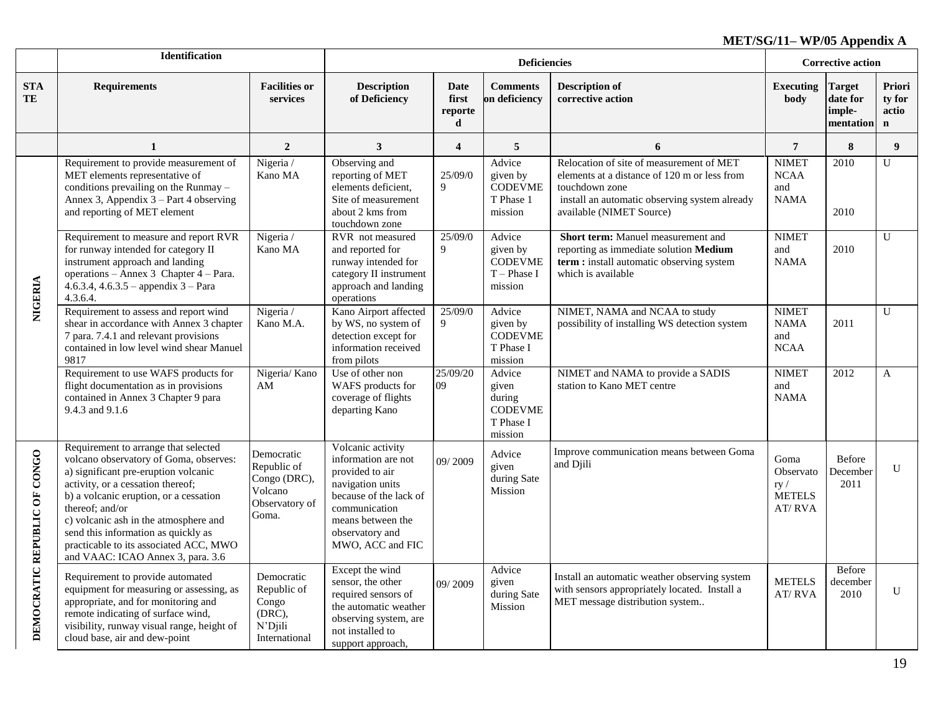|                              | <b>Identification</b>                                                                                                                                                                                                                                                                                                                                                                   |                                                                                 |                                                                                                                                                                                        |                               | <b>Deficiencies</b>                                                 |                                                                                                                                                                                         | <b>Corrective action</b>                             |                                                  |                                          |
|------------------------------|-----------------------------------------------------------------------------------------------------------------------------------------------------------------------------------------------------------------------------------------------------------------------------------------------------------------------------------------------------------------------------------------|---------------------------------------------------------------------------------|----------------------------------------------------------------------------------------------------------------------------------------------------------------------------------------|-------------------------------|---------------------------------------------------------------------|-----------------------------------------------------------------------------------------------------------------------------------------------------------------------------------------|------------------------------------------------------|--------------------------------------------------|------------------------------------------|
| <b>STA</b><br>TE             | <b>Requirements</b>                                                                                                                                                                                                                                                                                                                                                                     | <b>Facilities or</b><br>services                                                | <b>Description</b><br>of Deficiency                                                                                                                                                    | Date<br>first<br>reporte<br>d | <b>Comments</b><br>on deficiency                                    | <b>Description of</b><br>corrective action                                                                                                                                              | <b>Executing</b><br>body                             | <b>Target</b><br>date for<br>imple-<br>mentation | Priori<br>ty for<br>actio<br>$\mathbf n$ |
|                              | $\mathbf{1}$                                                                                                                                                                                                                                                                                                                                                                            | $\overline{2}$                                                                  | $\mathbf{3}$                                                                                                                                                                           | $\overline{\mathbf{4}}$       | 5                                                                   | 6                                                                                                                                                                                       | $\overline{7}$                                       | 8                                                | 9 <sup>°</sup>                           |
|                              | Requirement to provide measurement of<br>MET elements representative of<br>conditions prevailing on the Runmay -<br>Annex 3, Appendix 3 – Part 4 observing<br>and reporting of MET element                                                                                                                                                                                              | Nigeria /<br>Kano MA                                                            | Observing and<br>reporting of MET<br>elements deficient.<br>Site of measurement<br>about 2 kms from<br>touchdown zone                                                                  | 25/09/0<br>9                  | Advice<br>given by<br><b>CODEVME</b><br>T Phase 1<br>mission        | Relocation of site of measurement of MET<br>elements at a distance of 120 m or less from<br>touchdown zone<br>install an automatic observing system already<br>available (NIMET Source) | <b>NIMET</b><br><b>NCAA</b><br>and<br><b>NAMA</b>    | 2010<br>2010                                     | U                                        |
| NIGERIA                      | Requirement to measure and report RVR<br>for runway intended for category II<br>instrument approach and landing<br>operations - Annex 3 Chapter 4 - Para.<br>$4.6.3.4, 4.6.3.5$ – appendix $3$ – Para<br>4.3.6.4.                                                                                                                                                                       | Nigeria /<br>Kano MA                                                            | RVR not measured<br>and reported for<br>runway intended for<br>category II instrument<br>approach and landing<br>operations                                                            | 25/09/0<br>9                  | Advice<br>given by<br><b>CODEVME</b><br>$T$ – Phase I<br>mission    | Short term: Manuel measurement and<br>reporting as immediate solution Medium<br>term : install automatic observing system<br>which is available                                         | <b>NIMET</b><br>and<br><b>NAMA</b>                   | 2010                                             | U                                        |
|                              | Requirement to assess and report wind<br>shear in accordance with Annex 3 chapter<br>7 para. 7.4.1 and relevant provisions<br>contained in low level wind shear Manuel<br>9817                                                                                                                                                                                                          | Nigeria /<br>Kano M.A.                                                          | Kano Airport affected<br>by WS, no system of<br>detection except for<br>information received<br>from pilots                                                                            | 25/09/0<br>9                  | Advice<br>given by<br><b>CODEVME</b><br>T Phase I<br>mission        | NIMET, NAMA and NCAA to study<br>possibility of installing WS detection system                                                                                                          | <b>NIMET</b><br><b>NAMA</b><br>and<br><b>NCAA</b>    | 2011                                             | U                                        |
|                              | Requirement to use WAFS products for<br>flight documentation as in provisions<br>contained in Annex 3 Chapter 9 para<br>9.4.3 and 9.1.6                                                                                                                                                                                                                                                 | Nigeria/ Kano<br>AM                                                             | Use of other non<br>WAFS products for<br>coverage of flights<br>departing Kano                                                                                                         | 25/09/20<br>09                | Advice<br>given<br>during<br><b>CODEVME</b><br>T Phase I<br>mission | NIMET and NAMA to provide a SADIS<br>station to Kano MET centre                                                                                                                         | <b>NIMET</b><br>and<br><b>NAMA</b>                   | 2012                                             | A                                        |
| DEMOCRATIC REPUBLIC OF CONGO | Requirement to arrange that selected<br>volcano observatory of Goma, observes:<br>a) significant pre-eruption volcanic<br>activity, or a cessation thereof;<br>b) a volcanic eruption, or a cessation<br>thereof: and/or<br>c) volcanic ash in the atmosphere and<br>send this information as quickly as<br>practicable to its associated ACC, MWO<br>and VAAC: ICAO Annex 3, para. 3.6 | Democratic<br>Republic of<br>Congo (DRC),<br>Volcano<br>Observatory of<br>Goma. | Volcanic activity<br>information are not<br>provided to air<br>navigation units<br>because of the lack of<br>communication<br>means between the<br>observatory and<br>MWO, ACC and FIC | 09/2009                       | Advice<br>given<br>during Sate<br>Mission                           | Improve communication means between Goma<br>and Djili                                                                                                                                   | Goma<br>Observato<br>ry/<br><b>METELS</b><br>AT/ RVA | Before<br>December<br>2011                       | U                                        |
|                              | Requirement to provide automated<br>equipment for measuring or assessing, as<br>appropriate, and for monitoring and<br>remote indicating of surface wind,<br>visibility, runway visual range, height of<br>cloud base, air and dew-point                                                                                                                                                | Democratic<br>Republic of<br>Congo<br>(DRC),<br>N'Djili<br>International        | Except the wind<br>sensor, the other<br>required sensors of<br>the automatic weather<br>observing system, are<br>not installed to<br>support approach,                                 | 09/2009                       | Advice<br>given<br>during Sate<br>Mission                           | Install an automatic weather observing system<br>with sensors appropriately located. Install a<br>MET message distribution system                                                       | <b>METELS</b><br>AT/RVA                              | Before<br>december<br>2010                       | U                                        |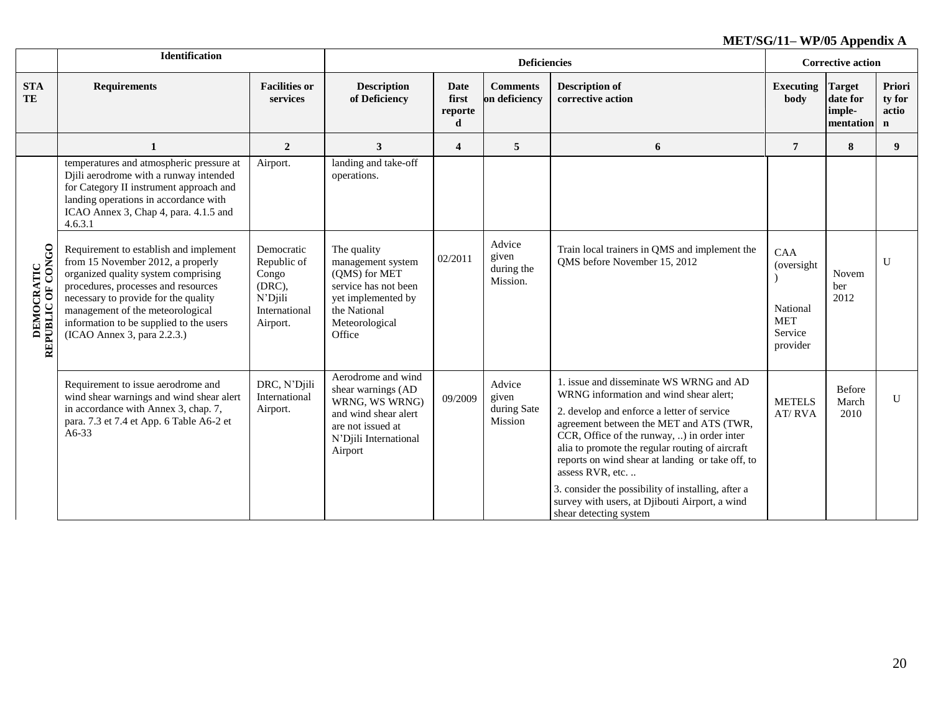|                                         | <b>Identification</b>                                                                                                                                                                                                                                                                                           |                                                                                      |                                                                                                                                             |                                      | <b>Deficiencies</b>                       |                                                                                                                                                                                                                                                                                                                                                                                                                                                                                       |                                                                     | <b>Corrective action</b>                         |                                          |
|-----------------------------------------|-----------------------------------------------------------------------------------------------------------------------------------------------------------------------------------------------------------------------------------------------------------------------------------------------------------------|--------------------------------------------------------------------------------------|---------------------------------------------------------------------------------------------------------------------------------------------|--------------------------------------|-------------------------------------------|---------------------------------------------------------------------------------------------------------------------------------------------------------------------------------------------------------------------------------------------------------------------------------------------------------------------------------------------------------------------------------------------------------------------------------------------------------------------------------------|---------------------------------------------------------------------|--------------------------------------------------|------------------------------------------|
| <b>STA</b><br>TE                        | <b>Requirements</b>                                                                                                                                                                                                                                                                                             | <b>Facilities or</b><br>services                                                     | <b>Description</b><br>of Deficiency                                                                                                         | <b>Date</b><br>first<br>reporte<br>d | <b>Comments</b><br>on deficiency          | <b>Description of</b><br>corrective action                                                                                                                                                                                                                                                                                                                                                                                                                                            | <b>Executing</b><br>body                                            | <b>Target</b><br>date for<br>imple-<br>mentation | Priori<br>ty for<br>actio<br>$\mathbf n$ |
|                                         | $\mathbf{1}$                                                                                                                                                                                                                                                                                                    | $\overline{2}$                                                                       | 3                                                                                                                                           | $\overline{\mathbf{4}}$              | $5^{\circ}$                               | 6                                                                                                                                                                                                                                                                                                                                                                                                                                                                                     | $\overline{7}$                                                      | 8                                                | 9                                        |
|                                         | temperatures and atmospheric pressure at<br>Djili aerodrome with a runway intended<br>for Category II instrument approach and<br>landing operations in accordance with<br>ICAO Annex 3, Chap 4, para. 4.1.5 and<br>4.6.3.1                                                                                      | Airport.                                                                             | landing and take-off<br>operations.                                                                                                         |                                      |                                           |                                                                                                                                                                                                                                                                                                                                                                                                                                                                                       |                                                                     |                                                  |                                          |
| <b>DEMOCRATIC<br/>REPUBLIC OF CONGO</b> | Requirement to establish and implement<br>from 15 November 2012, a properly<br>organized quality system comprising<br>procedures, processes and resources<br>necessary to provide for the quality<br>management of the meteorological<br>information to be supplied to the users<br>(ICAO Annex 3, para 2.2.3.) | Democratic<br>Republic of<br>Congo<br>(DRC),<br>N'Djili<br>International<br>Airport. | The quality<br>management system<br>(QMS) for MET<br>service has not been<br>yet implemented by<br>the National<br>Meteorological<br>Office | 02/2011                              | Advice<br>given<br>during the<br>Mission. | Train local trainers in QMS and implement the<br>QMS before November 15, 2012                                                                                                                                                                                                                                                                                                                                                                                                         | CAA<br>(oversight)<br>National<br><b>MET</b><br>Service<br>provider | Novem<br>ber<br>2012                             | U                                        |
|                                         | Requirement to issue aerodrome and<br>wind shear warnings and wind shear alert<br>in accordance with Annex 3, chap. 7,<br>para. 7.3 et 7.4 et App. 6 Table A6-2 et<br>$A6-33$                                                                                                                                   | DRC, N'Djili<br>International<br>Airport.                                            | Aerodrome and wind<br>shear warnings (AD<br>WRNG, WS WRNG)<br>and wind shear alert<br>are not issued at<br>N'Djili International<br>Airport | 09/2009                              | Advice<br>given<br>during Sate<br>Mission | 1. issue and disseminate WS WRNG and AD<br>WRNG information and wind shear alert;<br>2. develop and enforce a letter of service<br>agreement between the MET and ATS (TWR,<br>CCR, Office of the runway, ) in order inter<br>alia to promote the regular routing of aircraft<br>reports on wind shear at landing or take off, to<br>assess RVR, etc<br>3. consider the possibility of installing, after a<br>survey with users, at Djibouti Airport, a wind<br>shear detecting system | <b>METELS</b><br>AT/RVA                                             | Before<br>March<br>2010                          | U                                        |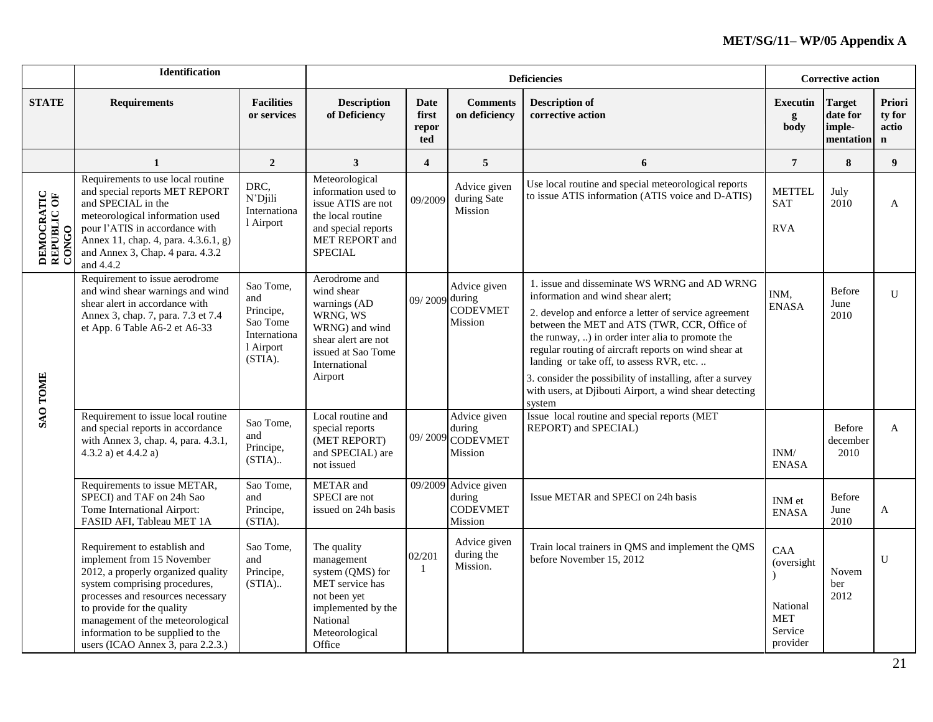|                                    | <b>Identification</b>                                                                                                                                                                                                                                                                                              |                                                                                   |                                                                                                                                                    |                               |                                                              | <b>Deficiencies</b>                                                                                                                                                                                                                                                                                                                                                                                                                                                                 |                                                                           | <b>Corrective action</b>                         |                                          |
|------------------------------------|--------------------------------------------------------------------------------------------------------------------------------------------------------------------------------------------------------------------------------------------------------------------------------------------------------------------|-----------------------------------------------------------------------------------|----------------------------------------------------------------------------------------------------------------------------------------------------|-------------------------------|--------------------------------------------------------------|-------------------------------------------------------------------------------------------------------------------------------------------------------------------------------------------------------------------------------------------------------------------------------------------------------------------------------------------------------------------------------------------------------------------------------------------------------------------------------------|---------------------------------------------------------------------------|--------------------------------------------------|------------------------------------------|
| <b>STATE</b>                       | <b>Requirements</b>                                                                                                                                                                                                                                                                                                | <b>Facilities</b><br>or services                                                  | <b>Description</b><br>of Deficiency                                                                                                                | Date<br>first<br>repor<br>ted | <b>Comments</b><br>on deficiency                             | <b>Description of</b><br>corrective action                                                                                                                                                                                                                                                                                                                                                                                                                                          | Executin<br>g<br>body                                                     | <b>Target</b><br>date for<br>imple-<br>mentation | Priori<br>ty for<br>actio<br>$\mathbf n$ |
|                                    | $\mathbf{1}$                                                                                                                                                                                                                                                                                                       | $\overline{2}$                                                                    | $\mathbf{3}$                                                                                                                                       | $\overline{\mathbf{4}}$       | $\overline{5}$                                               | 6                                                                                                                                                                                                                                                                                                                                                                                                                                                                                   | $\overline{7}$                                                            | 8                                                | 9                                        |
| DEMOCRATIC<br>REPUBLIC OF<br>CONGO | Requirements to use local routine<br>and special reports MET REPORT<br>and SPECIAL in the<br>meteorological information used<br>pour l'ATIS in accordance with<br>Annex 11, chap. 4, para. 4.3.6.1, g)<br>and Annex 3, Chap. 4 para. 4.3.2<br>and 4.4.2                                                            | DRC,<br>N'Djili<br>Internationa<br>1 Airport                                      | Meteorological<br>information used to<br>issue ATIS are not<br>the local routine<br>and special reports<br>MET REPORT and<br><b>SPECIAL</b>        | 09/2009                       | Advice given<br>during Sate<br>Mission                       | Use local routine and special meteorological reports<br>to issue ATIS information (ATIS voice and D-ATIS)                                                                                                                                                                                                                                                                                                                                                                           | <b>METTEL</b><br><b>SAT</b><br><b>RVA</b>                                 | July<br>2010                                     | A                                        |
| <b>SAO TOME</b>                    | Requirement to issue aerodrome<br>and wind shear warnings and wind<br>shear alert in accordance with<br>Annex 3, chap. 7, para. 7.3 et 7.4<br>et App. 6 Table A6-2 et A6-33                                                                                                                                        | Sao Tome,<br>and<br>Principe,<br>Sao Tome<br>Internationa<br>l Airport<br>(STIA). | Aerodrome and<br>wind shear<br>warnings (AD<br>WRNG, WS<br>WRNG) and wind<br>shear alert are not<br>issued at Sao Tome<br>International<br>Airport | 09/2009 during                | Advice given<br><b>CODEVMET</b><br>Mission                   | 1. issue and disseminate WS WRNG and AD WRNG<br>information and wind shear alert;<br>2. develop and enforce a letter of service agreement<br>between the MET and ATS (TWR, CCR, Office of<br>the runway, ) in order inter alia to promote the<br>regular routing of aircraft reports on wind shear at<br>landing or take off, to assess RVR, etc.<br>3. consider the possibility of installing, after a survey<br>with users, at Djibouti Airport, a wind shear detecting<br>system | INM,<br><b>ENASA</b>                                                      | Before<br>June<br>2010                           | U                                        |
|                                    | Requirement to issue local routine<br>and special reports in accordance<br>with Annex 3, chap. 4, para. 4.3.1,<br>4.3.2 a) et 4.4.2 a)                                                                                                                                                                             | Sao Tome,<br>and<br>Principe,<br>$(STIA)$                                         | Local routine and<br>special reports<br>(MET REPORT)<br>and SPECIAL) are<br>not issued                                                             | 09/2009                       | Advice given<br>during<br><b>CODEVMET</b><br>Mission         | Issue local routine and special reports (MET<br>REPORT) and SPECIAL)                                                                                                                                                                                                                                                                                                                                                                                                                | INM/<br><b>ENASA</b>                                                      | Before<br>december<br>2010                       | $\mathbf{A}$                             |
|                                    | Requirements to issue METAR,<br>SPECI) and TAF on 24h Sao<br>Tome International Airport:<br>FASID AFI, Tableau MET 1A                                                                                                                                                                                              | Sao Tome,<br>and<br>Principe,<br>(STIA).                                          | METAR and<br>SPECI are not<br>issued on 24h basis                                                                                                  |                               | 09/2009 Advice given<br>during<br><b>CODEVMET</b><br>Mission | Issue METAR and SPECI on 24h basis                                                                                                                                                                                                                                                                                                                                                                                                                                                  | INM et<br><b>ENASA</b>                                                    | Before<br>June<br>2010                           | A                                        |
|                                    | Requirement to establish and<br>implement from 15 November<br>2012, a properly organized quality<br>system comprising procedures,<br>processes and resources necessary<br>to provide for the quality<br>management of the meteorological<br>information to be supplied to the<br>users (ICAO Annex 3, para 2.2.3.) | Sao Tome,<br>and<br>Principe,<br>$(STIA)$                                         | The quality<br>management<br>system (QMS) for<br>MET service has<br>not been yet<br>implemented by the<br>National<br>Meteorological<br>Office     | 02/201<br>$\overline{1}$      | Advice given<br>during the<br>Mission.                       | Train local trainers in QMS and implement the QMS<br>before November 15, 2012                                                                                                                                                                                                                                                                                                                                                                                                       | <b>CAA</b><br>(oversight<br>National<br><b>MET</b><br>Service<br>provider | Novem<br>ber<br>2012                             | $\mathbf{U}$                             |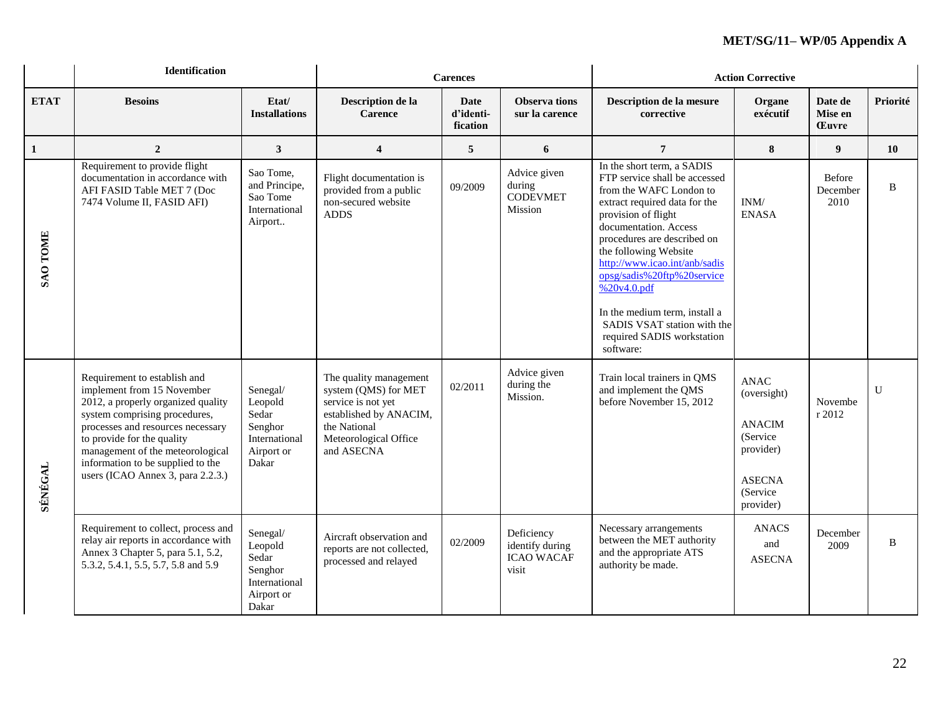|                 | <b>Identification</b>                                                                                                                                                                                                                                                                                              |                                                                                 |                                                                                                                                                       | <b>Carences</b>                      |                                                             | <b>Action Corrective</b>                                                                                                                                                                                                                                                                                                                                                                                                 |                                                                                                                |                                    |              |  |
|-----------------|--------------------------------------------------------------------------------------------------------------------------------------------------------------------------------------------------------------------------------------------------------------------------------------------------------------------|---------------------------------------------------------------------------------|-------------------------------------------------------------------------------------------------------------------------------------------------------|--------------------------------------|-------------------------------------------------------------|--------------------------------------------------------------------------------------------------------------------------------------------------------------------------------------------------------------------------------------------------------------------------------------------------------------------------------------------------------------------------------------------------------------------------|----------------------------------------------------------------------------------------------------------------|------------------------------------|--------------|--|
| <b>ETAT</b>     | <b>Besoins</b>                                                                                                                                                                                                                                                                                                     | Etat/<br><b>Installations</b>                                                   | Description de la<br><b>Carence</b>                                                                                                                   | <b>Date</b><br>d'identi-<br>fication | <b>Observa tions</b><br>sur la carence                      | Description de la mesure<br>corrective                                                                                                                                                                                                                                                                                                                                                                                   | Organe<br>exécutif                                                                                             | Date de<br>Mise en<br><b>Euvre</b> | Priorité     |  |
| $\mathbf{1}$    | $\overline{2}$                                                                                                                                                                                                                                                                                                     | $\mathbf{3}$                                                                    | $\overline{\mathbf{4}}$                                                                                                                               | 5                                    | 6                                                           | $7\phantom{.0}$                                                                                                                                                                                                                                                                                                                                                                                                          | ${\bf 8}$                                                                                                      | 9 <sup>°</sup>                     | 10           |  |
| <b>SAO TOME</b> | Requirement to provide flight<br>documentation in accordance with<br>AFI FASID Table MET 7 (Doc<br>7474 Volume II, FASID AFI)                                                                                                                                                                                      | Sao Tome,<br>and Principe,<br>Sao Tome<br>International<br>Airport              | Flight documentation is<br>provided from a public<br>non-secured website<br><b>ADDS</b>                                                               | 09/2009                              | Advice given<br>during<br><b>CODEVMET</b><br>Mission        | In the short term, a SADIS<br>FTP service shall be accessed<br>from the WAFC London to<br>extract required data for the<br>provision of flight<br>documentation. Access<br>procedures are described on<br>the following Website<br>http://www.icao.int/anb/sadis<br>opsg/sadis%20ftp%20service<br>%20v4.0.pdf<br>In the medium term, install a<br>SADIS VSAT station with the<br>required SADIS workstation<br>software: | $\text{INM}/% \mathbb{Z} _{k}$<br><b>ENASA</b>                                                                 | <b>Before</b><br>December<br>2010  | B            |  |
| <b>SÉNÉGAL</b>  | Requirement to establish and<br>implement from 15 November<br>2012, a properly organized quality<br>system comprising procedures,<br>processes and resources necessary<br>to provide for the quality<br>management of the meteorological<br>information to be supplied to the<br>users (ICAO Annex 3, para 2.2.3.) | Senegal/<br>Leopold<br>Sedar<br>Senghor<br>International<br>Airport or<br>Dakar | The quality management<br>system (QMS) for MET<br>service is not yet<br>established by ANACIM,<br>the National<br>Meteorological Office<br>and ASECNA | 02/2011                              | Advice given<br>during the<br>Mission.                      | Train local trainers in QMS<br>and implement the QMS<br>before November 15, 2012                                                                                                                                                                                                                                                                                                                                         | <b>ANAC</b><br>(oversight)<br><b>ANACIM</b><br>(Service<br>provider)<br><b>ASECNA</b><br>(Service<br>provider) | Novembe<br>r 2012                  | $\mathbf{U}$ |  |
|                 | Requirement to collect, process and<br>relay air reports in accordance with<br>Annex 3 Chapter 5, para 5.1, 5.2,<br>5.3.2, 5.4.1, 5.5, 5.7, 5.8 and 5.9                                                                                                                                                            | Senegal/<br>Leopold<br>Sedar<br>Senghor<br>International<br>Airport or<br>Dakar | Aircraft observation and<br>reports are not collected,<br>processed and relayed                                                                       | 02/2009                              | Deficiency<br>identify during<br><b>ICAO WACAF</b><br>visit | Necessary arrangements<br>between the MET authority<br>and the appropriate ATS<br>authority be made.                                                                                                                                                                                                                                                                                                                     | <b>ANACS</b><br>and<br><b>ASECNA</b>                                                                           | December<br>2009                   | B            |  |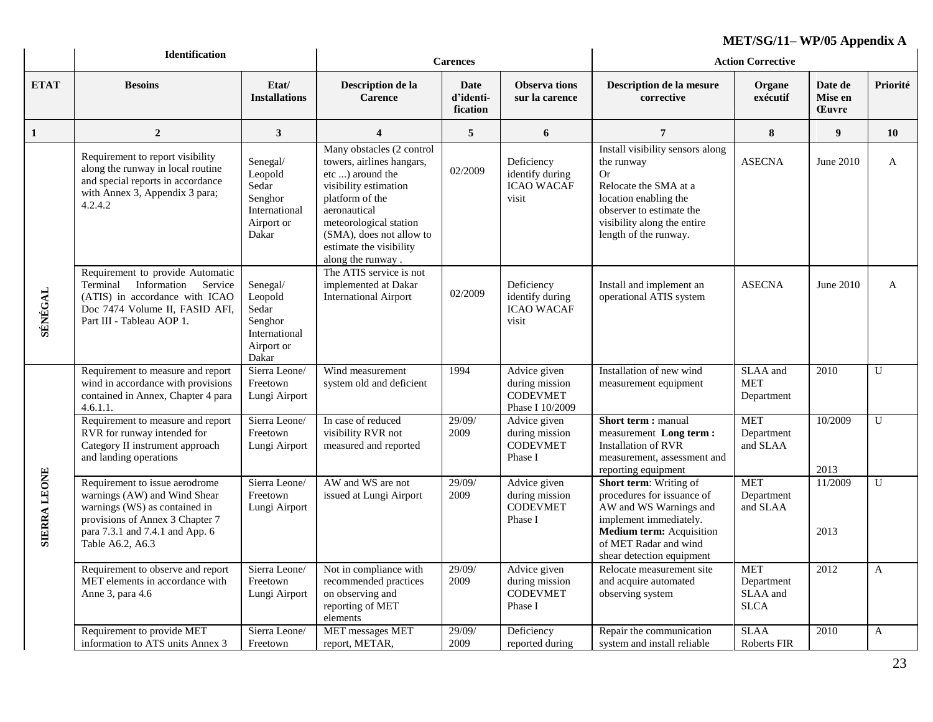|                     | <b>Identification</b>                                                                                                                                                                     |                                                                                 |                                                                                                                                                                                                                                              |                               | $MLI/OU/II = VII/UJ$ Appendix A                                      |                                                                                                                                                                                                          |                                                     |                                    |                |
|---------------------|-------------------------------------------------------------------------------------------------------------------------------------------------------------------------------------------|---------------------------------------------------------------------------------|----------------------------------------------------------------------------------------------------------------------------------------------------------------------------------------------------------------------------------------------|-------------------------------|----------------------------------------------------------------------|----------------------------------------------------------------------------------------------------------------------------------------------------------------------------------------------------------|-----------------------------------------------------|------------------------------------|----------------|
|                     |                                                                                                                                                                                           |                                                                                 |                                                                                                                                                                                                                                              | <b>Carences</b>               |                                                                      |                                                                                                                                                                                                          | <b>Action Corrective</b>                            |                                    |                |
| <b>ETAT</b>         | <b>Besoins</b>                                                                                                                                                                            | Etat/<br><b>Installations</b>                                                   | Description de la<br><b>Carence</b>                                                                                                                                                                                                          | Date<br>d'identi-<br>fication | <b>Observa tions</b><br>sur la carence                               | Description de la mesure<br>corrective                                                                                                                                                                   | Organe<br>exécutif                                  | Date de<br>Mise en<br><b>Euvre</b> | Priorité       |
| 1                   | $\overline{2}$                                                                                                                                                                            | $\mathbf{3}$                                                                    | $\overline{\mathbf{4}}$                                                                                                                                                                                                                      | 5                             | 6                                                                    | $\overline{7}$                                                                                                                                                                                           | 8                                                   | 9                                  | <b>10</b>      |
|                     | Requirement to report visibility<br>along the runway in local routine<br>and special reports in accordance<br>with Annex 3, Appendix 3 para;<br>4.2.4.2                                   | Senegal/<br>Leopold<br>Sedar<br>Senghor<br>International<br>Airport or<br>Dakar | Many obstacles (2 control<br>towers, airlines hangars,<br>etc ) around the<br>visibility estimation<br>platform of the<br>aeronautical<br>meteorological station<br>(SMA), does not allow to<br>estimate the visibility<br>along the runway. | 02/2009                       | Deficiency<br>identify during<br><b>ICAO WACAF</b><br>visit          | Install visibility sensors along<br>the runway<br>Or<br>Relocate the SMA at a<br>location enabling the<br>observer to estimate the<br>visibility along the entire<br>length of the runway.               | <b>ASECNA</b>                                       | June 2010                          | A              |
| SÉNÉGAL             | Requirement to provide Automatic<br>Terminal Information Service<br>(ATIS) in accordance with ICAO<br>Doc 7474 Volume II, FASID AFI,<br>Part III - Tableau AOP 1.                         | Senegal/<br>Leopold<br>Sedar<br>Senghor<br>International<br>Airport or<br>Dakar | The ATIS service is not<br>implemented at Dakar<br><b>International Airport</b>                                                                                                                                                              | 02/2009                       | Deficiency<br>identify during<br><b>ICAO WACAF</b><br>visit          | Install and implement an<br>operational ATIS system                                                                                                                                                      | <b>ASECNA</b>                                       | June 2010                          | $\mathbf{A}$   |
|                     | Requirement to measure and report<br>wind in accordance with provisions<br>contained in Annex, Chapter 4 para<br>4.6.1.1.                                                                 | Sierra Leone/<br>Freetown<br>Lungi Airport                                      | Wind measurement<br>system old and deficient                                                                                                                                                                                                 | 1994                          | Advice given<br>during mission<br><b>CODEVMET</b><br>Phase I 10/2009 | Installation of new wind<br>measurement equipment                                                                                                                                                        | SLAA and<br><b>MET</b><br>Department                | 2010                               | $\mathbf U$    |
|                     | Requirement to measure and report<br>RVR for runway intended for<br>Category II instrument approach<br>and landing operations                                                             | Sierra Leone/<br>Freetown<br>Lungi Airport                                      | In case of reduced<br>visibility RVR not<br>measured and reported                                                                                                                                                                            | 29/09/<br>2009                | Advice given<br>during mission<br><b>CODEVMET</b><br>Phase I         | <b>Short term: manual</b><br>measurement Long term:<br><b>Installation of RVR</b><br>measurement, assessment and<br>reporting equipment                                                                  | <b>MET</b><br>Department<br>and SLAA                | 10/2009<br>2013                    | $\overline{U}$ |
| <b>SIERRA LEONE</b> | Requirement to issue aerodrome<br>warnings (AW) and Wind Shear<br>warnings (WS) as contained in<br>provisions of Annex 3 Chapter 7<br>para 7.3.1 and 7.4.1 and App. 6<br>Table A6.2, A6.3 | Sierra Leone/<br>Freetown<br>Lungi Airport                                      | AW and WS are not<br>issued at Lungi Airport                                                                                                                                                                                                 | 29/09/<br>2009                | Advice given<br>during mission<br><b>CODEVMET</b><br>Phase I         | <b>Short term:</b> Writing of<br>procedures for issuance of<br>AW and WS Warnings and<br>implement immediately.<br><b>Medium term:</b> Acquisition<br>of MET Radar and wind<br>shear detection equipment | <b>MET</b><br>Department<br>and SLAA                | 11/2009<br>2013                    | $\mathbf U$    |
|                     | Requirement to observe and report<br>MET elements in accordance with<br>Anne 3, para 4.6                                                                                                  | Sierra Leone/<br>Freetown<br>Lungi Airport                                      | Not in compliance with<br>recommended practices<br>on observing and<br>reporting of MET<br>elements                                                                                                                                          | 29/09/<br>2009                | Advice given<br>during mission<br><b>CODEVMET</b><br>Phase I         | Relocate measurement site<br>and acquire automated<br>observing system                                                                                                                                   | <b>MET</b><br>Department<br>SLAA and<br><b>SLCA</b> | 2012                               | $\overline{A}$ |
|                     | Requirement to provide MET<br>information to ATS units Annex 3                                                                                                                            | Sierra Leone/<br>Freetown                                                       | <b>MET</b> messages MET<br>report, METAR,                                                                                                                                                                                                    | 29/09/<br>2009                | Deficiency<br>reported during                                        | Repair the communication<br>system and install reliable                                                                                                                                                  | <b>SLAA</b><br><b>Roberts FIR</b>                   | 2010                               | $\mathbf{A}$   |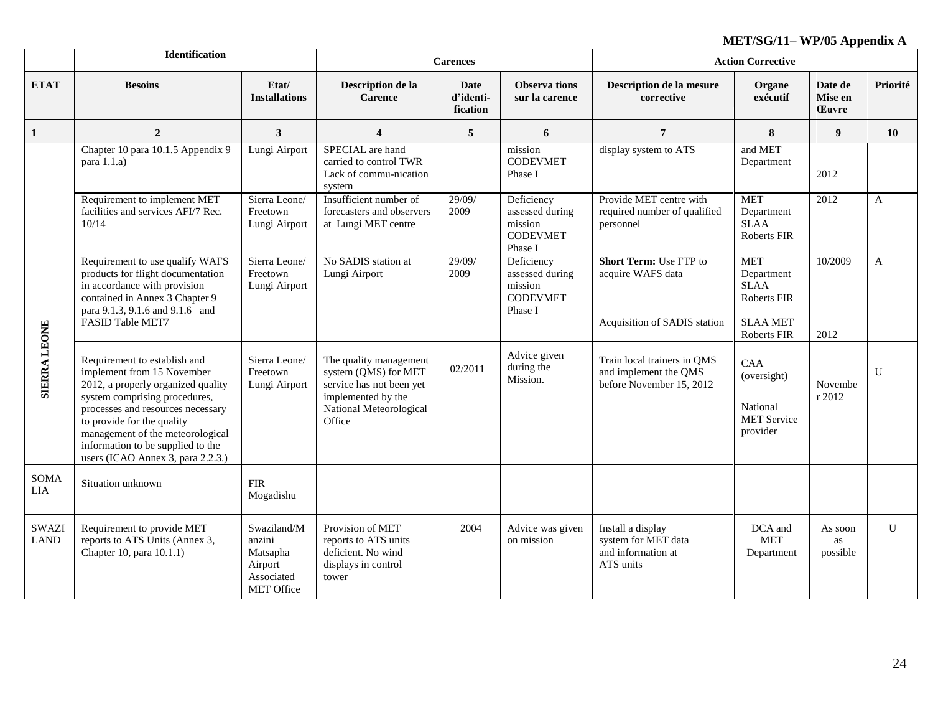|                             | <b>Identification</b>                                                                                                                                                                                                                                                                                              |                                                                                 |                                                                                                                                       | <b>Carences</b>               |                                                                        |                                                                                    | $MLI/9Q/11=VI/0JAP$<br><b>Action Corrective</b>                           |                                    |                |
|-----------------------------|--------------------------------------------------------------------------------------------------------------------------------------------------------------------------------------------------------------------------------------------------------------------------------------------------------------------|---------------------------------------------------------------------------------|---------------------------------------------------------------------------------------------------------------------------------------|-------------------------------|------------------------------------------------------------------------|------------------------------------------------------------------------------------|---------------------------------------------------------------------------|------------------------------------|----------------|
| <b>ETAT</b>                 | <b>Besoins</b>                                                                                                                                                                                                                                                                                                     | Etat/<br><b>Installations</b>                                                   | Description de la<br><b>Carence</b>                                                                                                   | Date<br>d'identi-<br>fication | <b>Observa</b> tions<br>sur la carence                                 | Description de la mesure<br>corrective                                             | Organe<br>exécutif                                                        | Date de<br>Mise en<br><b>Euvre</b> | Priorité       |
| 1                           | $\overline{2}$                                                                                                                                                                                                                                                                                                     | $\overline{3}$                                                                  | $\overline{\mathbf{4}}$                                                                                                               | 5                             | 6                                                                      | $\overline{7}$                                                                     | 8                                                                         | 9 <sup>°</sup>                     | 10             |
|                             | Chapter 10 para 10.1.5 Appendix 9<br>para $1.1.a$                                                                                                                                                                                                                                                                  | Lungi Airport                                                                   | SPECIAL are hand<br>carried to control TWR<br>Lack of commu-nication<br>system                                                        |                               | mission<br><b>CODEVMET</b><br>Phase I                                  | display system to ATS                                                              | and MET<br>Department                                                     | 2012                               |                |
|                             | Requirement to implement MET<br>facilities and services AFI/7 Rec.<br>10/14                                                                                                                                                                                                                                        | Sierra Leone/<br>Freetown<br>Lungi Airport                                      | Insufficient number of<br>forecasters and observers<br>at Lungi MET centre                                                            | 29/09/<br>2009                | Deficiency<br>assessed during<br>mission<br><b>CODEVMET</b><br>Phase I | Provide MET centre with<br>required number of qualified<br>personnel               | <b>MET</b><br>Department<br><b>SLAA</b><br><b>Roberts FIR</b>             | 2012                               | $\mathbf{A}$   |
|                             | Requirement to use qualify WAFS<br>products for flight documentation<br>in accordance with provision<br>contained in Annex 3 Chapter 9<br>para 9.1.3, 9.1.6 and 9.1.6 and<br>FASID Table MET7                                                                                                                      | Sierra Leone/<br>Freetown<br>Lungi Airport                                      | No SADIS station at<br>Lungi Airport                                                                                                  | 29/09/<br>2009                | Deficiency<br>assessed during<br>mission<br><b>CODEVMET</b><br>Phase I | <b>Short Term: Use FTP to</b><br>acquire WAFS data<br>Acquisition of SADIS station | <b>MET</b><br>Department<br><b>SLAA</b><br>Roberts FIR<br><b>SLAA MET</b> | 10/2009                            | $\mathbf{A}$   |
|                             |                                                                                                                                                                                                                                                                                                                    |                                                                                 |                                                                                                                                       |                               |                                                                        |                                                                                    | Roberts FIR                                                               | 2012                               |                |
| <b>SIERRA LEONE</b>         | Requirement to establish and<br>implement from 15 November<br>2012, a properly organized quality<br>system comprising procedures,<br>processes and resources necessary<br>to provide for the quality<br>management of the meteorological<br>information to be supplied to the<br>users (ICAO Annex 3, para 2.2.3.) | Sierra Leone/<br>Freetown<br>Lungi Airport                                      | The quality management<br>system (QMS) for MET<br>service has not been yet<br>implemented by the<br>National Meteorological<br>Office | 02/2011                       | Advice given<br>during the<br>Mission.                                 | Train local trainers in QMS<br>and implement the QMS<br>before November 15, 2012   | CAA<br>(oversight)<br>National<br><b>MET Service</b><br>provider          | Novembe<br>r 2012                  | $\overline{U}$ |
| <b>SOMA</b><br>LIA          | Situation unknown                                                                                                                                                                                                                                                                                                  | <b>FIR</b><br>Mogadishu                                                         |                                                                                                                                       |                               |                                                                        |                                                                                    |                                                                           |                                    |                |
| <b>SWAZI</b><br><b>LAND</b> | Requirement to provide MET<br>reports to ATS Units (Annex 3,<br>Chapter 10, para 10.1.1)                                                                                                                                                                                                                           | Swaziland/M<br>anzini<br>Matsapha<br>Airport<br>Associated<br><b>MET Office</b> | Provision of MET<br>reports to ATS units<br>deficient. No wind<br>displays in control<br>tower                                        | 2004                          | Advice was given<br>on mission                                         | Install a display<br>system for MET data<br>and information at<br>ATS units        | DCA and<br><b>MET</b><br>Department                                       | As soon<br>as<br>possible          | U              |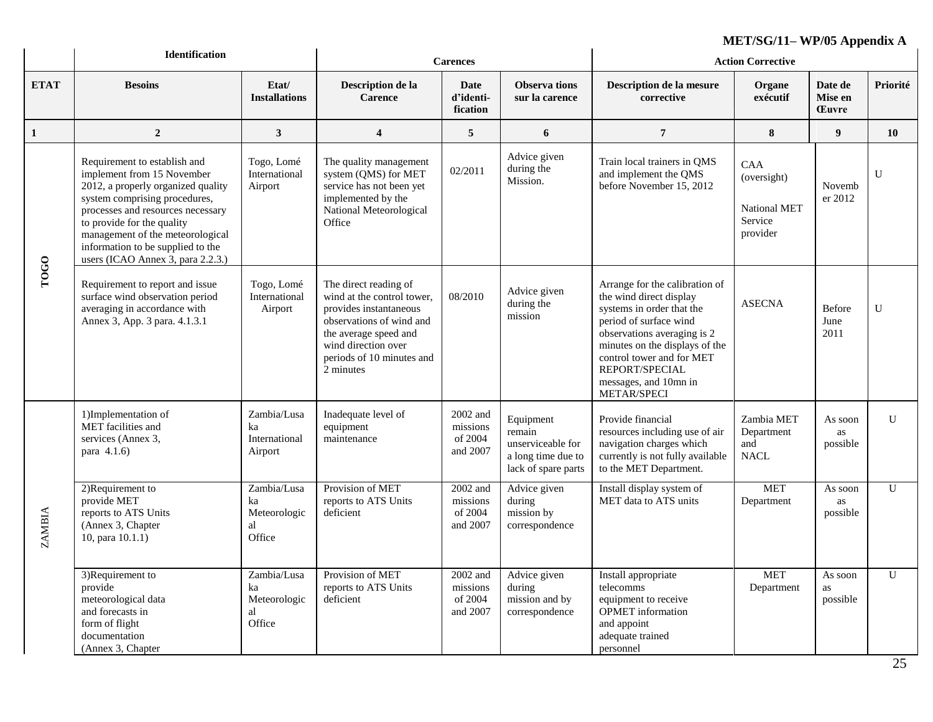|               | <b>Identification</b>                                                                                                                                                                                                                                                                                              | <b>Carences</b>                                   |                                                                                                                                                                                                     |                                             | $MLI/DUII=11/UVI$<br><b>Action Corrective</b>                                         |                                                                                                                                                                                                                                                                          |                                                           |                                    |                |
|---------------|--------------------------------------------------------------------------------------------------------------------------------------------------------------------------------------------------------------------------------------------------------------------------------------------------------------------|---------------------------------------------------|-----------------------------------------------------------------------------------------------------------------------------------------------------------------------------------------------------|---------------------------------------------|---------------------------------------------------------------------------------------|--------------------------------------------------------------------------------------------------------------------------------------------------------------------------------------------------------------------------------------------------------------------------|-----------------------------------------------------------|------------------------------------|----------------|
| <b>ETAT</b>   | <b>Besoins</b>                                                                                                                                                                                                                                                                                                     | Etat/<br><b>Installations</b>                     | Description de la<br><b>Carence</b>                                                                                                                                                                 | <b>Date</b><br>d'identi-<br>fication        | <b>Observa</b> tions<br>sur la carence                                                | Description de la mesure<br>corrective                                                                                                                                                                                                                                   | Organe<br>exécutif                                        | Date de<br>Mise en<br><b>Euvre</b> | Priorité       |
| $\mathbf{1}$  | $\boldsymbol{2}$                                                                                                                                                                                                                                                                                                   | $\mathbf{3}$                                      | $\overline{\mathbf{4}}$                                                                                                                                                                             | 5                                           | 6                                                                                     | $\overline{7}$                                                                                                                                                                                                                                                           | 8                                                         | 9                                  | 10             |
| TOGO          | Requirement to establish and<br>implement from 15 November<br>2012, a properly organized quality<br>system comprising procedures,<br>processes and resources necessary<br>to provide for the quality<br>management of the meteorological<br>information to be supplied to the<br>users (ICAO Annex 3, para 2.2.3.) | Togo, Lomé<br>International<br>Airport            | The quality management<br>system (QMS) for MET<br>service has not been yet<br>implemented by the<br>National Meteorological<br>Office                                                               | 02/2011                                     | Advice given<br>during the<br>Mission.                                                | Train local trainers in QMS<br>and implement the QMS<br>before November 15, 2012                                                                                                                                                                                         | CAA<br>(oversight)<br>National MET<br>Service<br>provider | Novemb<br>er 2012                  | U              |
|               | Requirement to report and issue<br>surface wind observation period<br>averaging in accordance with<br>Annex 3, App. 3 para. 4.1.3.1                                                                                                                                                                                | Togo, Lomé<br>International<br>Airport            | The direct reading of<br>wind at the control tower,<br>provides instantaneous<br>observations of wind and<br>the average speed and<br>wind direction over<br>periods of 10 minutes and<br>2 minutes | 08/2010                                     | Advice given<br>during the<br>mission                                                 | Arrange for the calibration of<br>the wind direct display<br>systems in order that the<br>period of surface wind<br>observations averaging is 2<br>minutes on the displays of the<br>control tower and for MET<br>REPORT/SPECIAL<br>messages, and 10mn in<br>METAR/SPECI | <b>ASECNA</b>                                             | Before<br>June<br>2011             | $\mathbf U$    |
| <b>ZAMBIA</b> | 1)Implementation of<br>MET facilities and<br>services (Annex 3,<br>para 4.1.6)                                                                                                                                                                                                                                     | Zambia/Lusa<br>ka<br>International<br>Airport     | Inadequate level of<br>equipment<br>maintenance                                                                                                                                                     | 2002 and<br>missions<br>of 2004<br>and 2007 | Equipment<br>remain<br>unserviceable for<br>a long time due to<br>lack of spare parts | Provide financial<br>resources including use of air<br>navigation charges which<br>currently is not fully available<br>to the MET Department.                                                                                                                            | Zambia MET<br>Department<br>and<br><b>NACL</b>            | As soon<br>as<br>possible          | U              |
|               | 2)Requirement to<br>provide MET<br>reports to ATS Units<br>(Annex 3, Chapter<br>10, para $10.1.1$ )                                                                                                                                                                                                                | Zambia/Lusa<br>ka<br>Meteorologic<br>al<br>Office | Provision of MET<br>reports to ATS Units<br>deficient                                                                                                                                               | 2002 and<br>missions<br>of 2004<br>and 2007 | Advice given<br>during<br>mission by<br>correspondence                                | Install display system of<br>MET data to ATS units                                                                                                                                                                                                                       | <b>MET</b><br>Department                                  | As soon<br>as<br>possible          | $\overline{U}$ |
|               | 3)Requirement to<br>provide<br>meteorological data<br>and forecasts in<br>form of flight<br>documentation<br>(Annex 3, Chapter                                                                                                                                                                                     | Zambia/Lusa<br>ka<br>Meteorologic<br>al<br>Office | Provision of MET<br>reports to ATS Units<br>deficient                                                                                                                                               | 2002 and<br>missions<br>of 2004<br>and 2007 | Advice given<br>during<br>mission and by<br>correspondence                            | Install appropriate<br>telecomms<br>equipment to receive<br>OPMET information<br>and appoint<br>adequate trained<br>personnel                                                                                                                                            | <b>MET</b><br>Department                                  | As soon<br>as<br>possible          | $\mathbf U$    |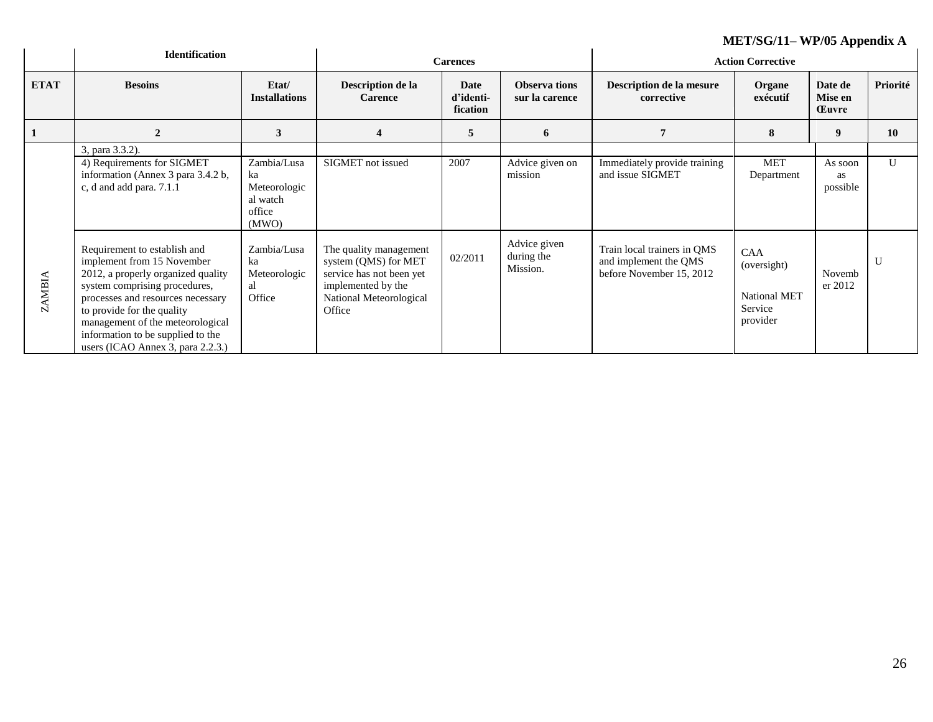|                   |                                                                                                                                                                                                                                                                                                                    | ME $1/SG/11- Wf/05$ Appendix A                    |                                                                                                                                       |                               |                                        |                                                                                  |                                                                  |                                    |              |
|-------------------|--------------------------------------------------------------------------------------------------------------------------------------------------------------------------------------------------------------------------------------------------------------------------------------------------------------------|---------------------------------------------------|---------------------------------------------------------------------------------------------------------------------------------------|-------------------------------|----------------------------------------|----------------------------------------------------------------------------------|------------------------------------------------------------------|------------------------------------|--------------|
|                   | <b>Identification</b>                                                                                                                                                                                                                                                                                              |                                                   | <b>Carences</b>                                                                                                                       |                               |                                        | <b>Action Corrective</b>                                                         |                                                                  |                                    |              |
| <b>ETAT</b>       | <b>Besoins</b>                                                                                                                                                                                                                                                                                                     | Etat/<br><b>Installations</b>                     | Description de la<br><b>Carence</b>                                                                                                   | Date<br>d'identi-<br>fication | <b>Observa tions</b><br>sur la carence | Description de la mesure<br>corrective                                           | Organe<br>exécutif                                               | Date de<br>Mise en<br><b>Euvre</b> | Priorité     |
|                   | $\overline{2}$                                                                                                                                                                                                                                                                                                     | 3                                                 | $\overline{\mathbf{4}}$                                                                                                               | 5                             | 6                                      | 7                                                                                | 8                                                                | 9                                  | <b>10</b>    |
|                   | 3, para 3.3.2).<br>4) Requirements for SIGMET                                                                                                                                                                                                                                                                      | Zambia/Lusa                                       | SIGMET not issued                                                                                                                     | 2007                          | Advice given on                        | Immediately provide training                                                     | <b>MET</b>                                                       | As soon                            | U            |
|                   | information (Annex 3 para 3.4.2 b,<br>c, d and add para. 7.1.1                                                                                                                                                                                                                                                     | ka<br>Meteorologic<br>al watch<br>office<br>(MWO) |                                                                                                                                       |                               | mission                                | and issue SIGMET                                                                 | Department                                                       | as<br>possible                     |              |
| <b>AMBIA</b><br>N | Requirement to establish and<br>implement from 15 November<br>2012, a properly organized quality<br>system comprising procedures,<br>processes and resources necessary<br>to provide for the quality<br>management of the meteorological<br>information to be supplied to the<br>users (ICAO Annex 3, para 2.2.3.) | Zambia/Lusa<br>ka<br>Meteorologic<br>al<br>Office | The quality management<br>system (QMS) for MET<br>service has not been yet<br>implemented by the<br>National Meteorological<br>Office | 02/2011                       | Advice given<br>during the<br>Mission. | Train local trainers in QMS<br>and implement the QMS<br>before November 15, 2012 | <b>CAA</b><br>(oversight)<br>National MET<br>Service<br>provider | Novemb<br>er 2012                  | $\mathbf{U}$ |